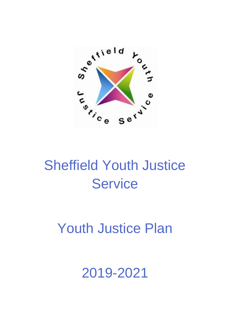

# Sheffield Youth Justice **Service**

# Youth Justice Plan

# 2019-2021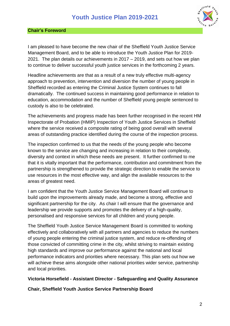

#### <span id="page-1-0"></span>**Chair's Foreword**

I am pleased to have become the new chair of the Sheffield Youth Justice Service Management Board, and to be able to introduce the Youth Justice Plan for 2019- 2021. The plan details our achievements in 2017 – 2019, and sets out how we plan to continue to deliver successful youth justice services in the forthcoming 2 years.

Headline achievements are that as a result of a new truly effective multi-agency approach to prevention, intervention and diversion the number of young people in Sheffield recorded as entering the Criminal Justice System continues to fall dramatically. The continued success in maintaining good performance in relation to education, accommodation and the number of Sheffield young people sentenced to custody is also to be celebrated.

The achievements and progress made has been further recognised in the recent HM Inspectorate of Probation (HMIP) Inspection of Youth Justice Services in Sheffield where the service received a composite rating of being good overall with several areas of outstanding practice identified during the course of the inspection process.

The inspection confirmed to us that the needs of the young people who become known to the service are changing and increasing in relation to their complexity, diversity and context in which these needs are present. It further confirmed to me that it is vitally important that the performance, contribution and commitment from the partnership is strengthened to provide the strategic direction to enable the service to use resources in the most effective way, and align the available resources to the areas of greatest need.

I am confident that the Youth Justice Service Management Board will continue to build upon the improvements already made, and become a strong, effective and significant partnership for the city. As chair I will ensure that the governance and leadership we provide supports and promotes the delivery of a high-quality, personalised and responsive services for all children and young people.

The Sheffield Youth Justice Service Management Board is committed to working effectively and collaboratively with all partners and agencies to reduce the numbers of young people entering the criminal justice system, and reduce re-offending of those convicted of committing crime in the city, whilst striving to maintain existing high standards and improve our performance against the national and local performance indicators and priorities where necessary. This plan sets out how we will achieve these aims alongside other national priorities wider service, partnership and local priorities.

#### **Victoria Horsefield - Assistant Director - Safeguarding and Quality Assurance**

**Chair, Sheffield Youth Justice Service Partnership Board**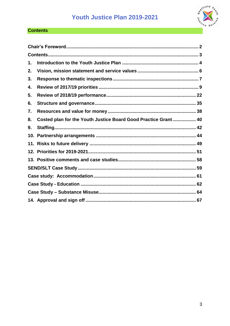

#### <span id="page-2-0"></span>**Contents**

| 1.  |                                                                |  |
|-----|----------------------------------------------------------------|--|
| 2.  |                                                                |  |
| 3.  |                                                                |  |
| 4.  |                                                                |  |
| 5.  |                                                                |  |
| 6.  |                                                                |  |
| 7.  |                                                                |  |
| 8.  | Costed plan for the Youth Justice Board Good Practice Grant 40 |  |
| 9.  |                                                                |  |
| 10. |                                                                |  |
|     |                                                                |  |
|     |                                                                |  |
|     |                                                                |  |
|     |                                                                |  |
|     |                                                                |  |
|     |                                                                |  |
|     |                                                                |  |
|     |                                                                |  |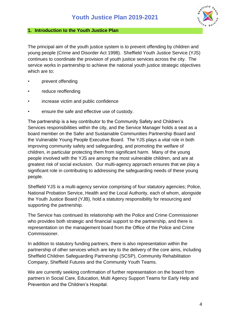

#### <span id="page-3-0"></span>**1. Introduction to the Youth Justice Plan**

The principal aim of the youth justice system is to prevent offending by children and young people (Crime and Disorder Act 1998). Sheffield Youth Justice Service (YJS) continues to coordinate the provision of youth justice services across the city. The service works in partnership to achieve the national youth justice strategic objectives which are to:

- prevent offending
- reduce reoffending
- increase victim and public confidence
- ensure the safe and effective use of custody.

The partnership is a key contributor to the Community Safety and Children's Services responsibilities within the city, and the Service Manager holds a seat as a board member on the Safer and Sustainable Communities Partnership Board and the Vulnerable Young People Executive Board. The YJS plays a vital role in both improving community safety and safeguarding, and promoting the welfare of children, in particular protecting them from significant harm. Many of the young people involved with the YJS are among the most vulnerable children, and are at greatest risk of social exclusion. Our multi-agency approach ensures that we play a significant role in contributing to addressing the safeguarding needs of these young people.

Sheffield YJS is a multi-agency service comprising of four statutory agencies; Police, National Probation Service, Health and the Local Authority, each of whom, alongside the Youth Justice Board (YJB), hold a statutory responsibility for resourcing and supporting the partnership.

The Service has continued its relationship with the Police and Crime Commissioner who provides both strategic and financial support to the partnership, and there is representation on the management board from the Office of the Police and Crime Commissioner.

In addition to statutory funding partners, there is also representation within the partnership of other services which are key to the delivery of the core aims, including Sheffield Children Safeguarding Partnership (SCSP), Community Rehabilitation Company, Sheffield Futures and the Community Youth Teams.

We are currently seeking confirmation of further representation on the board from partners in Social Care, Education, Multi Agency Support Teams for Early Help and Prevention and the Children's Hospital.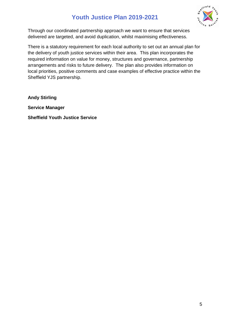

Through our coordinated partnership approach we want to ensure that services delivered are targeted, and avoid duplication, whilst maximising effectiveness.

There is a statutory requirement for each local authority to set out an annual plan for the delivery of youth justice services within their area. This plan incorporates the required information on value for money, structures and governance, partnership arrangements and risks to future delivery. The plan also provides information on local priorities, positive comments and case examples of effective practice within the Sheffield YJS partnership.

**Andy Stirling**

**Service Manager**

**Sheffield Youth Justice Service**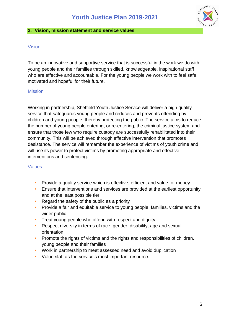

#### <span id="page-5-0"></span>**2. Vision, mission statement and service values**

#### Vision

To be an innovative and supportive service that is successful in the work we do with young people and their families through skilled, knowledgeable, inspirational staff who are effective and accountable. For the young people we work with to feel safe, motivated and hopeful for their future.

#### Mission

Working in partnership, Sheffield Youth Justice Service will deliver a high quality service that safeguards young people and reduces and prevents offending by children and young people, thereby protecting the public. The service aims to reduce the number of young people entering, or re-entering, the criminal justice system and ensure that those few who require custody are successfully rehabilitated into their community. This will be achieved through effective intervention that promotes desistance. The service will remember the experience of victims of youth crime and will use its power to protect victims by promoting appropriate and effective interventions and sentencing.

#### Values

- Provide a quality service which is effective, efficient and value for money
- Ensure that interventions and services are provided at the earliest opportunity and at the least possible tier
- Regard the safety of the public as a priority
- Provide a fair and equitable service to young people, families, victims and the wider public
- Treat young people who offend with respect and dignity
- Respect diversity in terms of race, gender, disability, age and sexual orientation
- Promote the rights of victims and the rights and responsibilities of children, young people and their families
- Work in partnership to meet assessed need and avoid duplication
- Value staff as the service's most important resource.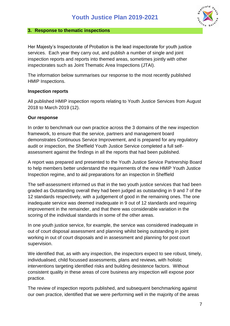#### <span id="page-6-0"></span>**3. Response to thematic inspections**

Her Majesty's Inspectorate of Probation is the lead inspectorate for youth justice services. Each year they carry out, and publish a number of single and joint inspection reports and reports into themed areas, sometimes jointly with other inspectorates such as Joint Thematic Area Inspections (JTAI).

The information below summarises our response to the most recently published HMIP Inspections.

#### **Inspection reports**

All published HMIP inspection reports relating to Youth Justice Services from August 2018 to March 2019 (12).

#### **Our response**

In order to benchmark our own practice across the 3 domains of the new inspection framework, to ensure that the service, partners and management board demonstrates Continuous Service Improvement, and is prepared for any regulatory audit or inspection, the Sheffield Youth Justice Service completed a full selfassessment against the findings in all the reports that had been published.

A report was prepared and presented to the Youth Justice Service Partnership Board to help members better understand the requirements of the new HMIP Youth Justice Inspection regime, and to aid preparations for an inspection in Sheffield

The self-assessment informed us that in the two youth justice services that had been graded as Outstanding overall they had been judged as outstanding in 9 and 7 of the 12 standards respectively, with a judgement of good in the remaining ones. The one inadequate service was deemed inadequate in 9 out of 12 standards and requiring improvement in the remainder, and that there was considerable variation in the scoring of the individual standards in some of the other areas.

In one youth justice service, for example, the service was considered inadequate in out of court disposal assessment and planning whilst being outstanding in joint working in out of court disposals and in assessment and planning for post court supervision.

We identified that, as with any inspection, the inspectors expect to see robust, timely, individualised, child focussed assessments, plans and reviews, with holistic interventions targeting identified risks and building desistence factors. Without consistent quality in these areas of core business any inspection will expose poor practice.

The review of inspection reports published, and subsequent benchmarking against our own practice, identified that we were performing well in the majority of the areas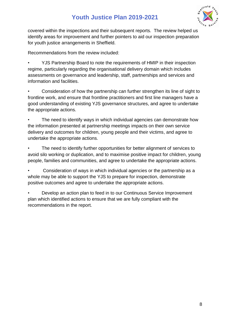

covered within the inspections and their subsequent reports. The review helped us identify areas for improvement and further pointers to aid our inspection preparation for youth justice arrangements in Sheffield.

Recommendations from the review included:

• YJS Partnership Board to note the requirements of HMIP in their inspection regime, particularly regarding the organisational delivery domain which includes assessments on governance and leadership, staff, partnerships and services and information and facilities.

• Consideration of how the partnership can further strengthen its line of sight to frontline work, and ensure that frontline practitioners and first line managers have a good understanding of existing YJS governance structures, and agree to undertake the appropriate actions.

The need to identify ways in which individual agencies can demonstrate how the information presented at partnership meetings impacts on their own service delivery and outcomes for children, young people and their victims, and agree to undertake the appropriate actions.

• The need to identify further opportunities for better alignment of services to avoid silo working or duplication, and to maximise positive impact for children, young people, families and communities, and agree to undertake the appropriate actions.

• Consideration of ways in which individual agencies or the partnership as a whole may be able to support the YJS to prepare for inspection, demonstrate positive outcomes and agree to undertake the appropriate actions.

• Develop an action plan to feed in to our Continuous Service Improvement plan which identified actions to ensure that we are fully compliant with the recommendations in the report.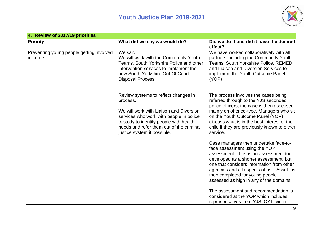

<span id="page-8-0"></span>

| 4. Review of 2017/19 priorities                      |                                                                                                                                                                                                                                                             |                                                                                                                                                                                                                                                                                                                                                                              |
|------------------------------------------------------|-------------------------------------------------------------------------------------------------------------------------------------------------------------------------------------------------------------------------------------------------------------|------------------------------------------------------------------------------------------------------------------------------------------------------------------------------------------------------------------------------------------------------------------------------------------------------------------------------------------------------------------------------|
| <b>Priority</b>                                      | What did we say we would do?                                                                                                                                                                                                                                | Did we do it and did it have the desired<br>effect?                                                                                                                                                                                                                                                                                                                          |
| Preventing young people getting involved<br>in crime | We said:<br>We will work with the Community Youth<br>Teams, South Yorkshire Police and other<br>intervention services to implement the<br>new South Yorkshire Out Of Court<br><b>Disposal Process.</b>                                                      | We have worked collaboratively with all<br>partners including the Community Youth<br>Teams, South Yorkshire Police, REMEDI<br>and Liaison and Diversion Services to<br>implement the Youth Outcome Panel<br>(YOP)                                                                                                                                                            |
|                                                      | Review systems to reflect changes in<br>process.<br>We will work with Liaison and Diversion<br>services who work with people in police<br>custody to identify people with health<br>needs and refer them out of the criminal<br>justice system if possible. | The process involves the cases being<br>referred through to the YJS seconded<br>police officers, the case is then assessed<br>mainly on offence-type, Managers who sit<br>on the Youth Outcome Panel (YOP)<br>discuss what is in the best interest of the<br>child if they are previously known to either<br>service.                                                        |
|                                                      |                                                                                                                                                                                                                                                             | Case managers then undertake face-to-<br>face assessment using the YOP<br>assessment. This is an assessment tool<br>developed as a shorter assessment, but<br>one that considers information from other<br>agencies and all aspects of risk. Asset+ is<br>then completed for young people<br>assessed as high in any of the domains.<br>The assessment and recommendation is |
|                                                      |                                                                                                                                                                                                                                                             | considered at the YOP which includes<br>representatives from YJS, CYT, victim                                                                                                                                                                                                                                                                                                |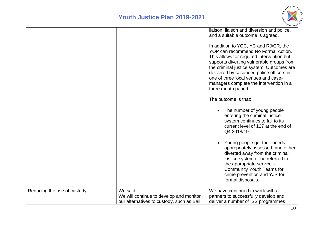

|                             |                                                                                                  | liaison, liaison and diversion and police,<br>and a suitable outcome is agreed.<br>In addition to YCC, YC and RJ/CR, the<br>YOP can recommend No Formal Action.<br>This allows for required intervention but<br>supports diverting vulnerable groups from<br>the criminal justice system. Outcomes are<br>delivered by seconded police officers in<br>one of three local venues and case-<br>managers complete the intervention in a<br>three month period.<br>The outcome is that:<br>The number of young people<br>entering the criminal justice<br>system continues to fall to its<br>current level of 127 at the end of<br>Q4 2018/19<br>Young people get their needs<br>appropriately assessed, and either<br>diverted away from the criminal<br>justice system or be referred to<br>the appropriate service $-$<br><b>Community Youth Teams for</b><br>crime prevention and YJS for<br>formal disposals. |
|-----------------------------|--------------------------------------------------------------------------------------------------|----------------------------------------------------------------------------------------------------------------------------------------------------------------------------------------------------------------------------------------------------------------------------------------------------------------------------------------------------------------------------------------------------------------------------------------------------------------------------------------------------------------------------------------------------------------------------------------------------------------------------------------------------------------------------------------------------------------------------------------------------------------------------------------------------------------------------------------------------------------------------------------------------------------|
| Reducing the use of custody | We said:<br>We will continue to develop and monitor<br>our alternatives to custody, such as Bail | We have continued to work with all<br>partners to successfully develop and<br>deliver a number of ISS programmes                                                                                                                                                                                                                                                                                                                                                                                                                                                                                                                                                                                                                                                                                                                                                                                               |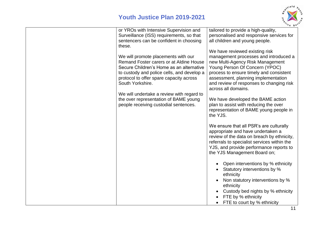

| or YROs with Intensive Supervision and<br>Surveillance (ISS) requirements, so that<br>sentencers can be confident in choosing<br>these.                                                                                                 | tailored to provide a high-quality,<br>personalised and responsive services for<br>all children and young people.<br>We have reviewed existing risk                                                                                                              |
|-----------------------------------------------------------------------------------------------------------------------------------------------------------------------------------------------------------------------------------------|------------------------------------------------------------------------------------------------------------------------------------------------------------------------------------------------------------------------------------------------------------------|
| We will promote placements with our<br>Remand Foster carers or at Aldine House<br>Secure Children's Home as an alternative<br>to custody and police cells, and develop a<br>protocol to offer spare capacity across<br>South Yorkshire. | management processes and introduced a<br>new Multi-Agency Risk Management<br>Young Person Of Concern (YPOC)<br>process to ensure timely and consistent<br>assessment, planning implementation<br>and review of responses to changing risk<br>across all domains. |
| We will undertake a review with regard to<br>the over representation of BAME young<br>people receiving custodial sentences.                                                                                                             | We have developed the BAME action<br>plan to assist with reducing the over<br>representation of BAME young people in<br>the YJS.                                                                                                                                 |
|                                                                                                                                                                                                                                         | We ensure that all PSR's are culturally<br>appropriate and have undertaken a<br>review of the data on breach by ethnicity,<br>referrals to specialist services within the<br>YJS, and provide performance reports to<br>the YJS Management Board on;             |
|                                                                                                                                                                                                                                         | Open interventions by % ethnicity<br>Statutory interventions by %<br>ethnicity<br>Non statutory interventions by %<br>ethnicity<br>Custody bed nights by % ethnicity                                                                                             |
|                                                                                                                                                                                                                                         | FTE by % ethnicity<br>FTE to court by % ethnicity                                                                                                                                                                                                                |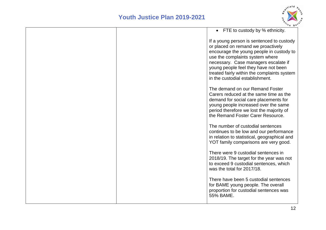

|  | • FTE to custody by % ethnicity.                                                                                                                                                                                                                                                                                                 |
|--|----------------------------------------------------------------------------------------------------------------------------------------------------------------------------------------------------------------------------------------------------------------------------------------------------------------------------------|
|  | If a young person is sentenced to custody<br>or placed on remand we proactively<br>encourage the young people in custody to<br>use the complaints system where<br>necessary. Case managers escalate if<br>young people feel they have not been<br>treated fairly within the complaints system<br>in the custodial establishment. |
|  | The demand on our Remand Foster<br>Carers reduced at the same time as the<br>demand for social care placements for<br>young people increased over the same<br>period therefore we lost the majority of<br>the Remand Foster Carer Resource.                                                                                      |
|  | The number of custodial sentences<br>continues to be low and our performance<br>in relation to statistical, geographical and<br>YOT family comparisons are very good.                                                                                                                                                            |
|  | There were 9 custodial sentences in<br>2018/19. The target for the year was not<br>to exceed 9 custodial sentences, which<br>was the total for 2017/18.                                                                                                                                                                          |
|  | There have been 5 custodial sentences<br>for BAME young people. The overall<br>proportion for custodial sentences was<br>55% BAME.                                                                                                                                                                                               |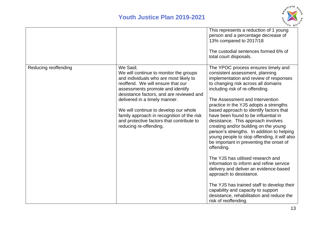

|                      |                                                                                                                                                                                                                                                                                                                                                                                                                  | This represents a reduction of 1 young<br>person and a percentage decrease of<br>13% compared to 2017/18<br>The custodial sentences formed 6% of<br>total court disposals.                                                                                                                                                                                                                                                                                                                                                                                                                                                                                                                                                                                                                                                                                                                                      |
|----------------------|------------------------------------------------------------------------------------------------------------------------------------------------------------------------------------------------------------------------------------------------------------------------------------------------------------------------------------------------------------------------------------------------------------------|-----------------------------------------------------------------------------------------------------------------------------------------------------------------------------------------------------------------------------------------------------------------------------------------------------------------------------------------------------------------------------------------------------------------------------------------------------------------------------------------------------------------------------------------------------------------------------------------------------------------------------------------------------------------------------------------------------------------------------------------------------------------------------------------------------------------------------------------------------------------------------------------------------------------|
| Reducing reoffending | We Said;<br>We will continue to monitor the groups<br>and individuals who are most likely to<br>reoffend. We will ensure that our<br>assessments promote and identify<br>desistance factors, and are reviewed and<br>delivered in a timely manner.<br>We will continue to develop our whole<br>family approach in recognition of the risk<br>and protective factors that contribute to<br>reducing re-offending. | The YPOC process ensures timely and<br>consistent assessment, planning<br>implementation and review of responses<br>to changing risk across all domains<br>including risk of re-offending.<br>The Assessment and Intervention<br>practice in the YJS adopts a strengths<br>based approach to identify factors that<br>have been found to be influential in<br>desistance. This approach involves<br>creating and/or building on the young<br>person's strengths. In addition to helping<br>young people to stop offending, it will also<br>be important in preventing the onset of<br>offending.<br>The YJS has utilised research and<br>information to inform and refine service<br>delivery and deliver an evidence-based<br>approach to desistance.<br>The YJS has trained staff to develop their<br>capability and capacity to support<br>desistance, rehabilitation and reduce the<br>risk of reoffending. |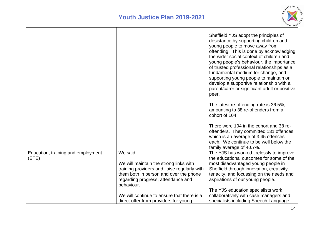

|                                    |                                              | Sheffield YJS adopt the principles of<br>desistance by supporting children and<br>young people to move away from<br>offending. This is done by acknowledging<br>the wider social context of children and<br>young people's behaviour, the importance<br>of trusted professional relationships as a<br>fundamental medium for change, and<br>supporting young people to maintain or<br>develop a supportive relationship with a<br>parent/carer or significant adult or positive<br>peer. |
|------------------------------------|----------------------------------------------|------------------------------------------------------------------------------------------------------------------------------------------------------------------------------------------------------------------------------------------------------------------------------------------------------------------------------------------------------------------------------------------------------------------------------------------------------------------------------------------|
|                                    |                                              | The latest re-offending rate is 36.5%,<br>amounting to 38 re-offenders from a<br>cohort of 104.                                                                                                                                                                                                                                                                                                                                                                                          |
|                                    |                                              | There were 104 in the cohort and 38 re-<br>offenders. They committed 131 offences,<br>which is an average of 3.45 offences<br>each. We continue to be well below the<br>family average of 40.7%.                                                                                                                                                                                                                                                                                         |
| Education, training and employment | We said:                                     | The YJS has worked tirelessly to improve                                                                                                                                                                                                                                                                                                                                                                                                                                                 |
| (ETE)                              | We will maintain the strong links with       | the educational outcomes for some of the<br>most disadvantaged young people in                                                                                                                                                                                                                                                                                                                                                                                                           |
|                                    | training providers and liaise regularly with | Sheffield through innovation, creativity,                                                                                                                                                                                                                                                                                                                                                                                                                                                |
|                                    | them both in person and over the phone       | tenacity, and focussing on the needs and                                                                                                                                                                                                                                                                                                                                                                                                                                                 |
|                                    | regarding progress, attendance and           | aspirations of our young people.                                                                                                                                                                                                                                                                                                                                                                                                                                                         |
|                                    | behaviour.                                   | The YJS education specialists work                                                                                                                                                                                                                                                                                                                                                                                                                                                       |
|                                    | We will continue to ensure that there is a   | collaboratively with case managers and                                                                                                                                                                                                                                                                                                                                                                                                                                                   |
|                                    | direct offer from providers for young        | specialists including Speech Language                                                                                                                                                                                                                                                                                                                                                                                                                                                    |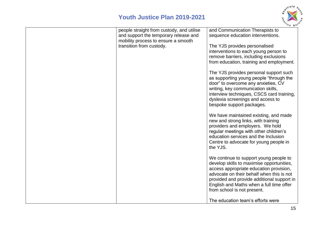

| people straight from custody, and utilise<br>and support the temporary release and<br>mobility process to ensure a smooth | and Communication Therapists to<br>sequence education interventions.                                                                                                                                                                                                                                 |
|---------------------------------------------------------------------------------------------------------------------------|------------------------------------------------------------------------------------------------------------------------------------------------------------------------------------------------------------------------------------------------------------------------------------------------------|
| transition from custody.                                                                                                  | The YJS provides personalised                                                                                                                                                                                                                                                                        |
|                                                                                                                           | interventions to each young person to                                                                                                                                                                                                                                                                |
|                                                                                                                           | remove barriers, including exclusions                                                                                                                                                                                                                                                                |
|                                                                                                                           | from education, training and employment.                                                                                                                                                                                                                                                             |
|                                                                                                                           | The YJS provides personal support such<br>as supporting young people "through the<br>door" to overcome any anxieties, CV<br>writing, key communication skills,<br>interview techniques, CSCS card training,<br>dyslexia screenings and access to<br>bespoke support packages.                        |
|                                                                                                                           | We have maintained existing, and made<br>new and strong links, with training<br>providers and employers. We hold<br>regular meetings with other children's<br>education services and the Inclusion<br>Centre to advocate for young people in<br>the YJS.                                             |
|                                                                                                                           | We continue to support young people to<br>develop skills to maximise opportunities,<br>access appropriate education provision,<br>advocate on their behalf when this is not<br>provided and provide additional support in<br>English and Maths when a full time offer<br>from school is not present. |
|                                                                                                                           | The education team's efforts were                                                                                                                                                                                                                                                                    |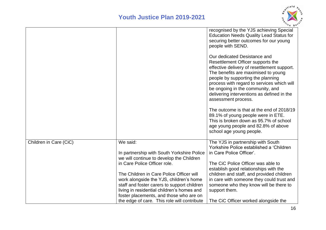

|                        |                                                                                                                                                                                                                                                                            | recognised by the YJS achieving Special<br><b>Education Needs Quality Lead Status for</b><br>securing better outcomes for our young<br>people with SEND.                                                                                                                                                                                                                                         |
|------------------------|----------------------------------------------------------------------------------------------------------------------------------------------------------------------------------------------------------------------------------------------------------------------------|--------------------------------------------------------------------------------------------------------------------------------------------------------------------------------------------------------------------------------------------------------------------------------------------------------------------------------------------------------------------------------------------------|
|                        |                                                                                                                                                                                                                                                                            | Our dedicated Desistance and<br>Resettlement Officer supports the<br>effective delivery of resettlement support.<br>The benefits are maximised to young<br>people by supporting the planning<br>process with regard to services which will<br>be ongoing in the community, and<br>delivering interventions as defined in the<br>assessment process.<br>The outcome is that at the end of 2018/19 |
|                        |                                                                                                                                                                                                                                                                            | 89.1% of young people were in ETE.<br>This is broken down as 95.7% of school<br>age young people and 82.8% of above<br>school age young people.                                                                                                                                                                                                                                                  |
| Children in Care (CiC) | We said:<br>In partnership with South Yorkshire Police<br>we will continue to develop the Children<br>in Care Police Officer role.                                                                                                                                         | The YJS in partnership with South<br>Yorkshire Police established a 'Children<br>in Care Police Officer'.<br>The CiC Police Officer was able to<br>establish good relationships with the                                                                                                                                                                                                         |
|                        | The Children in Care Police Officer will<br>work alongside the YJS, children's home<br>staff and foster carers to support children<br>living in residential children's homes and<br>foster placements, and those who are on<br>the edge of care. This role will contribute | children and staff, and provided children<br>in care with someone they could trust and<br>someone who they know will be there to<br>support them.<br>The CiC Officer worked alongside the                                                                                                                                                                                                        |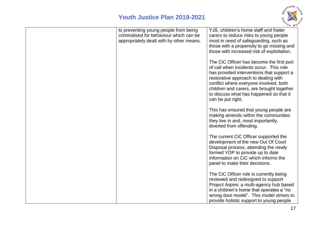

| to preventing young people from being<br>criminalised for behaviour which can be<br>appropriately dealt with by other means. | YJS, children's home staff and foster<br>carers to reduce risks to young people<br>most in need of safeguarding, such as<br>those with a propensity to go missing and<br>those with increased risk of exploitation.<br>The CiC Officer has become the first port                    |
|------------------------------------------------------------------------------------------------------------------------------|-------------------------------------------------------------------------------------------------------------------------------------------------------------------------------------------------------------------------------------------------------------------------------------|
|                                                                                                                              | of call when incidents occur. This role<br>has provided interventions that support a<br>restorative approach to dealing with<br>conflict where everyone involved, both<br>children and carers, are brought together<br>to discuss what has happened so that it<br>can be put right. |
|                                                                                                                              | This has ensured that young people are<br>making amends within the communities<br>they live in and, most importantly,<br>diverted from offending.                                                                                                                                   |
|                                                                                                                              | The current CiC Officer supported the<br>development of the new Out Of Court<br>Disposal process, attending the newly<br>formed YOP to provide up to date<br>information on CiC which informs the<br>panel to make their decisions.                                                 |
|                                                                                                                              | The CiC Officer role is currently being<br>reviewed and redesigned to support<br>Project Aspire; a multi-agency hub based<br>in a children's home that operates a "no<br>wrong door model". This model strives to<br>provide holistic support to young people                       |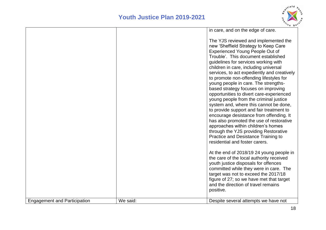

|                                     |          | in care, and on the edge of care.                                                                                                                                                                                                                                                                                                                                                                                                                                                                                                                                                                                                                                                                                                                                                                                                           |
|-------------------------------------|----------|---------------------------------------------------------------------------------------------------------------------------------------------------------------------------------------------------------------------------------------------------------------------------------------------------------------------------------------------------------------------------------------------------------------------------------------------------------------------------------------------------------------------------------------------------------------------------------------------------------------------------------------------------------------------------------------------------------------------------------------------------------------------------------------------------------------------------------------------|
|                                     |          | The YJS reviewed and implemented the<br>new 'Sheffield Strategy to Keep Care<br>Experienced Young People Out of<br>Trouble'. This document established<br>guidelines for services working with<br>children in care, including universal<br>services, to act expediently and creatively<br>to promote non-offending lifestyles for<br>young people in care. The strengths-<br>based strategy focuses on improving<br>opportunities to divert care-experienced<br>young people from the criminal justice<br>system and, where this cannot be done,<br>to provide support and fair treatment to<br>encourage desistance from offending. It<br>has also promoted the use of restorative<br>approaches within children's homes<br>through the YJS providing Restorative<br>Practice and Desistance Training to<br>residential and foster carers. |
|                                     |          | At the end of 2018/19 24 young people in<br>the care of the local authority received<br>youth justice disposals for offences<br>committed while they were in care. The<br>target was not to exceed the 2017/18                                                                                                                                                                                                                                                                                                                                                                                                                                                                                                                                                                                                                              |
|                                     |          | figure of 27; so we have met that target<br>and the direction of travel remains<br>positive.                                                                                                                                                                                                                                                                                                                                                                                                                                                                                                                                                                                                                                                                                                                                                |
| <b>Engagement and Participation</b> | We said: | Despite several attempts we have not                                                                                                                                                                                                                                                                                                                                                                                                                                                                                                                                                                                                                                                                                                                                                                                                        |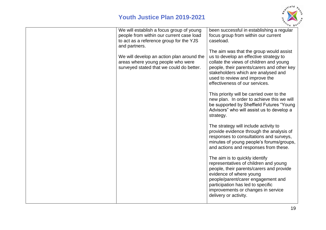

| We will establish a focus group of young<br>people from within our current case load<br>to act as a reference group for the YJS<br>and partners. | been successful in establishing a regular<br>focus group from within our current<br>caseload.                                                                                                                                                                                            |
|--------------------------------------------------------------------------------------------------------------------------------------------------|------------------------------------------------------------------------------------------------------------------------------------------------------------------------------------------------------------------------------------------------------------------------------------------|
| We will develop an action plan around the<br>areas where young people who were<br>surveyed stated that we could do better.                       | The aim was that the group would assist<br>us to develop an effective strategy to<br>collate the views of children and young<br>people, their parents/carers and other key<br>stakeholders which are analysed and<br>used to review and improve the<br>effectiveness of our services.    |
|                                                                                                                                                  | This priority will be carried over to the<br>new plan. In order to achieve this we will<br>be supported by Sheffield Futures "Young<br>Advisors" who will assist us to develop a<br>strategy.                                                                                            |
|                                                                                                                                                  | The strategy will include activity to<br>provide evidence through the analysis of<br>responses to consultations and surveys,<br>minutes of young people's forums/groups,<br>and actions and responses from these.                                                                        |
|                                                                                                                                                  | The aim is to quickly identify<br>representatives of children and young<br>people, their parents/carers and provide<br>evidence of where young<br>people/parent/carer engagement and<br>participation has led to specific<br>improvements or changes in service<br>delivery or activity. |
|                                                                                                                                                  |                                                                                                                                                                                                                                                                                          |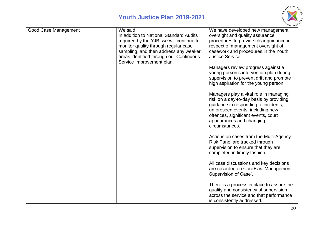

| <b>Good Case Management</b> | We said:                                 | We have developed new management                                              |
|-----------------------------|------------------------------------------|-------------------------------------------------------------------------------|
|                             | In addition to National Standard Audits  | oversight and quality assurance                                               |
|                             | required by the YJB, we will continue to | procedures to provide clear guidance in                                       |
|                             | monitor quality through regular case     | respect of management oversight of                                            |
|                             | sampling, and then address any weaker    | casework and procedures in the Youth                                          |
|                             | areas identified through our Continuous  | Justice Service.                                                              |
|                             | Service Improvement plan.                |                                                                               |
|                             |                                          | Managers review progress against a<br>young person's intervention plan during |
|                             |                                          | supervision to prevent drift and promote                                      |
|                             |                                          | high aspiration for the young person.                                         |
|                             |                                          |                                                                               |
|                             |                                          | Managers play a vital role in managing                                        |
|                             |                                          | risk on a day-to-day basis by providing                                       |
|                             |                                          | guidance in responding to incidents,                                          |
|                             |                                          | unforeseen events, including new                                              |
|                             |                                          | offences, significant events, court                                           |
|                             |                                          | appearances and changing<br>circumstances.                                    |
|                             |                                          |                                                                               |
|                             |                                          | Actions on cases from the Multi-Agency                                        |
|                             |                                          | Risk Panel are tracked through                                                |
|                             |                                          | supervision to ensure that they are                                           |
|                             |                                          | completed in timely fashion.                                                  |
|                             |                                          |                                                                               |
|                             |                                          | All case discussions and key decisions                                        |
|                             |                                          | are recorded on Core+ as 'Management                                          |
|                             |                                          | Supervision of Case'.                                                         |
|                             |                                          | There is a process in place to assure the                                     |
|                             |                                          | quality and consistency of supervision                                        |
|                             |                                          | across the service and that performance                                       |
|                             |                                          | is consistently addressed.                                                    |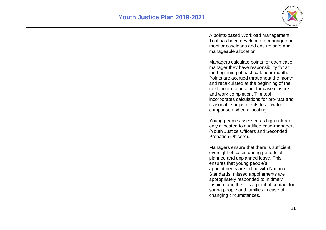

|  | A points-based Workload Management<br>Tool has been developed to manage and<br>monitor caseloads and ensure safe and<br>manageable allocation.                                                                                                                                                                                                                                                                    |
|--|-------------------------------------------------------------------------------------------------------------------------------------------------------------------------------------------------------------------------------------------------------------------------------------------------------------------------------------------------------------------------------------------------------------------|
|  | Managers calculate points for each case<br>manager they have responsibility for at<br>the beginning of each calendar month.<br>Points are accrued throughout the month<br>and recalculated at the beginning of the<br>next month to account for case closure<br>and work completion. The tool<br>incorporates calculations for pro-rata and<br>reasonable adjustments to allow for<br>comparison when allocating. |
|  | Young people assessed as high risk are<br>only allocated to qualified case-managers<br>(Youth Justice Officers and Seconded<br>Probation Officers).                                                                                                                                                                                                                                                               |
|  | Managers ensure that there is sufficient<br>oversight of cases during periods of<br>planned and unplanned leave. This<br>ensures that young people's<br>appointments are in line with National<br>Standards, missed appointments are<br>appropriately responded to in timely<br>fashion, and there is a point of contact for<br>young people and families in case of<br>changing circumstances.                   |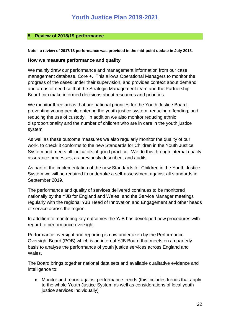#### <span id="page-21-0"></span>**5. Review of 2018/19 performance**

**Note: a review of 2017/18 performance was provided in the mid-point update in July 2018.**

#### **How we measure performance and quality**

We mainly draw our performance and management information from our case management database, Core +. This allows Operational Managers to monitor the progress of the cases under their supervision, and provides context about demand and areas of need so that the Strategic Management team and the Partnership Board can make informed decisions about resources and priorities.

We monitor three areas that are national priorities for the Youth Justice Board: preventing young people entering the youth justice system; reducing offending; and reducing the use of custody. In addition we also monitor reducing ethnic disproportionality and the number of children who are in care in the youth justice system.

As well as these outcome measures we also regularly monitor the quality of our work, to check it conforms to the new Standards for Children in the Youth Justice System and meets all indicators of good practice. We do this through internal quality assurance processes, as previously described, and audits.

As part of the implementation of the new Standards for Children in the Youth Justice System we will be required to undertake a self-assessment against all standards in September 2019.

The performance and quality of services delivered continues to be monitored nationally by the YJB for England and Wales, and the Service Manager meetings regularly with the regional YJB Head of Innovation and Engagement and other heads of service across the region.

In addition to monitoring key outcomes the YJB has developed new procedures with regard to performance oversight.

Performance oversight and reporting is now undertaken by the Performance Oversight Board (POB) which is an internal YJB Board that meets on a quarterly basis to analyse the performance of youth justice services across England and Wales.

The Board brings together national data sets and available qualitative evidence and intelligence to:

 Monitor and report against performance trends (this includes trends that apply to the whole Youth Justice System as well as considerations of local youth justice services individually)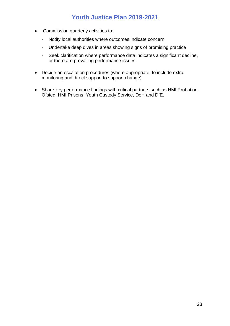- Commission quarterly activities to:
	- Notify local authorities where outcomes indicate concern
	- Undertake deep dives in areas showing signs of promising practice
	- Seek clarification where performance data indicates a significant decline, or there are prevailing performance issues
- Decide on escalation procedures (where appropriate, to include extra monitoring and direct support to support change)
- Share key performance findings with critical partners such as HMI Probation, Ofsted, HMI Prisons, Youth Custody Service, DoH and DfE.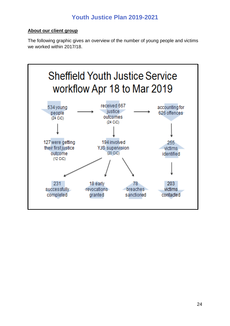#### **About our client group**

The following graphic gives an overview of the number of young people and victims we worked within 2017/18.

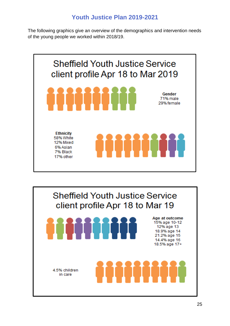The following graphics give an overview of the demographics and intervention needs of the young people we worked within 2018/19.





**TIIIII** 

**MINITI** 

Age at outcome 15% age 10-12 12% age 13 18.9% age 14 21.2% age 15 14.4% age 16 18.5% age 17+

4.5% children in care

25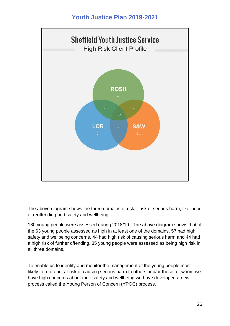

The above diagram shows the three domains of risk – risk of serious harm, likelihood of reoffending and safety and wellbeing.

180 young people were assessed during 2018/19. The above diagram shows that of the 63 young people assessed as high in at least one of the domains, 57 had high safety and wellbeing concerns, 44 had high risk of causing serious harm and 44 had a high risk of further offending. 35 young people were assessed as being high risk in all three domains.

To enable us to identify and monitor the management of the young people most likely to reoffend, at risk of causing serious harm to others and/or those for whom we have high concerns about their safety and wellbeing we have developed a new process called the Young Person of Concern (YPOC) process.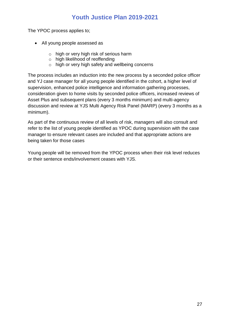The YPOC process applies to;

- All young people assessed as
	- o high or very high risk of serious harm
	- o high likelihood of reoffending
	- o high or very high safety and wellbeing concerns

The process includes an induction into the new process by a seconded police officer and YJ case manager for all young people identified in the cohort, a higher level of supervision, enhanced police intelligence and information gathering processes, consideration given to home visits by seconded police officers, increased reviews of Asset Plus and subsequent plans (every 3 months minimum) and multi-agency discussion and review at YJS Multi Agency Risk Panel (MARP) (every 3 months as a minimum).

As part of the continuous review of all levels of risk, managers will also consult and refer to the list of young people identified as YPOC during supervision with the case manager to ensure relevant cases are included and that appropriate actions are being taken for those cases

Young people will be removed from the YPOC process when their risk level reduces or their sentence ends/involvement ceases with YJS.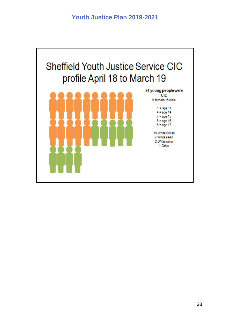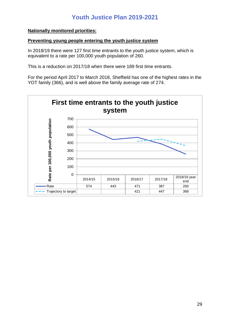#### **Nationally monitored priorities:**

#### **Preventing young people entering the youth justice system**

In 2018/19 there were 127 first time entrants to the youth justice system, which is equivalent to a rate per 100,000 youth population of 260.

This is a reduction on 2017/18 when there were 189 first time entrants.

For the period April 2017 to March 2018, Sheffield has one of the highest rates in the YOT family (366), and is well above the family average rate of 274.

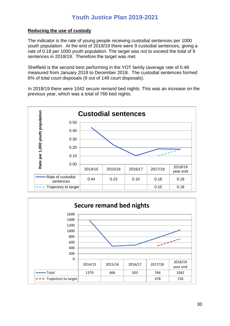#### **Reducing the use of custody**

The indicator is the rate of young people receiving custodial sentences per 1000 youth population. At the end of 2018/19 there were 9 custodial sentences, giving a rate of 0.18 per 1000 youth population. The target was not to exceed the total of 9 sentences in 2018/19. Therefore the target was met.

Sheffield is the second best performing in the YOT family (average rate of 0.48 measured from January 2018 to December 2018. The custodial sentences formed 6% of total court disposals (9 out of 149 court disposals).

In 2018/19 there were 1042 secure remand bed nights. This was an increase on the previous year, which was a total of 766 bed nights.



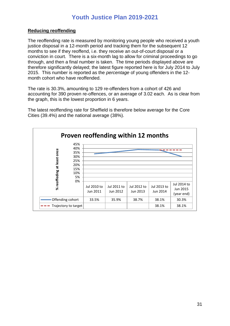#### **Reducing reoffending**

The reoffending rate is measured by monitoring young people who received a youth justice disposal in a 12-month period and tracking them for the subsequent 12 months to see if they reoffend, i.e. they receive an out-of-court disposal or a conviction in court. There is a six-month lag to allow for criminal proceedings to go through, and then a final number is taken. The time periods displayed above are therefore significantly delayed; the latest figure reported here is for July 2014 to July 2015. This number is reported as the *percentage* of young offenders in the 12 month cohort who have reoffended.

The rate is 30.3%, amounting to 129 re-offenders from a cohort of 426 and accounting for 390 proven re-offences, or an average of 3.02 each. As is clear from the graph, this is the lowest proportion in 6 years.

The latest reoffending rate for Sheffield is therefore below average for the Core Cities (39.4%) and the national average (38%).

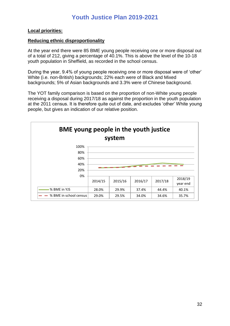#### **Local priorities:**

#### **Reducing ethnic disproportionality**

At the year end there were 85 BME young people receiving one or more disposal out of a total of 212, giving a percentage of 40.1%. This is above the level of the 10-18 youth population in Sheffield, as recorded in the school census.

During the year, 9.4% of young people receiving one or more disposal were of 'other' White (i.e. non-British) backgrounds; 22% each were of Black and Mixed backgrounds; 5% of Asian backgrounds and 3.3% were of Chinese background.

The YOT family comparison is based on the proportion of non-White young people receiving a disposal during 2017/18 as against the proportion in the youth population at the 2011 census. It is therefore quite out of date, and excludes 'other' White young people, but gives an indication of our relative position.

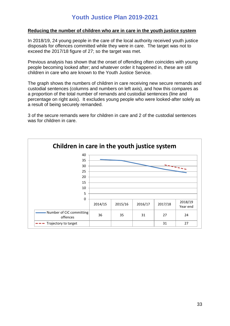#### **Reducing the number of children who are in care in the youth justice system**

In 2018/19, 24 young people in the care of the local authority received youth justice disposals for offences committed while they were in care. The target was not to exceed the 2017/18 figure of 27; so the target was met.

Previous analysis has shown that the onset of offending often coincides with young people becoming looked after; and whatever order it happened in, these are still children in care who are known to the Youth Justice Service.

The graph shows the numbers of children in care receiving new secure remands and custodial sentences (columns and numbers on left axis), and how this compares as a proportion of the total number of remands and custodial sentences (line and percentage on right axis). It excludes young people who were looked-after solely as a result of being securely remanded.

3 of the secure remands were for children in care and 2 of the custodial sentences was for children in care.

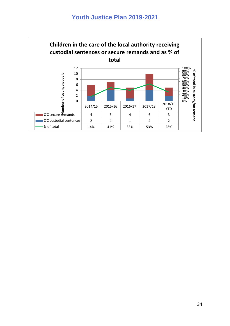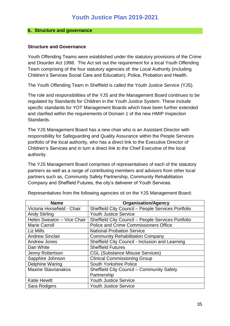#### <span id="page-34-0"></span>**6. Structure and governance**

#### **Structure and Governance**

Youth Offending Teams were established under the statutory provisions of the Crime and Disorder Act 1998. The Act set out the requirement for a local Youth Offending Team comprising of the four statutory agencies of: the Local Authority (including Children's Services Social Care and Education), Police, Probation and Health.

The Youth Offending Team in Sheffield is called the Youth Justice Service (YJS).

The role and responsibilities of the YJS and the Management Board continues to be regulated by Standards for Children in the Youth Justice System. These include specific standards for YOT Management Boards which have been further extended and clarified within the requirements of Domain 1 of the new HMIP Inspection Standards.

The YJS Management Board has a new chair who is an Assistant Director with responsibility for Safeguarding and Quality Assurance within the People Services portfolio of the local authority, who has a direct link to the Executive Director of Children's Services and in turn a direct link to the Chief Executive of the local authority.

The YJS Management Board comprises of representatives of each of the statutory partners as well as a range of contributing members and advisors from other local partners such as, Community Safety Partnership, Community Rehabilitation Company and Sheffield Futures, the city's deliverer of Youth Services.

| <b>Name</b>                 | <b>Organisation/Agency</b>                         |
|-----------------------------|----------------------------------------------------|
| Victoria Horsefield - Chair | Sheffield City Council - People Services Portfolio |
| <b>Andy Stirling</b>        | <b>Youth Justice Service</b>                       |
| Helen Sweaton - Vice Chair  | Sheffield City Council - People Services Portfolio |
| <b>Marie Carroll</b>        | Police and Crime Commissioners Office              |
| Liz Mills                   | <b>National Probation Service</b>                  |
| <b>Andrew Sinclair</b>      | <b>Community Rehabilitation Company</b>            |
| <b>Andrew Jones</b>         | Sheffield City Council - Inclusion and Learning    |
| Dan White                   | <b>Sheffield Futures</b>                           |
| Jenny Robertson             | <b>CGL (Substance Misuse Services)</b>             |
| Sapphire Johnson            | <b>Clinical Commissioning Group</b>                |
| <b>Delphine Waring</b>      | South Yorkshire Police                             |
| <b>Maxine Stavrianakos</b>  | <b>Sheffield City Council - Community Safety</b>   |
|                             | Partnership                                        |
| <b>Katie Hewitt</b>         | <b>Youth Justice Service</b>                       |
| Sara Rodgers                | <b>Youth Justice Service</b>                       |

Representatives from the following agencies sit on the YJS Management Board: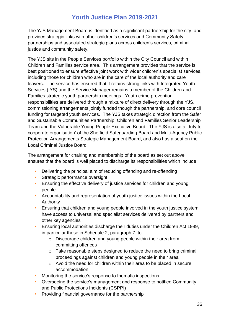The YJS Management Board is identified as a significant partnership for the city, and provides strategic links with other children's services and Community Safety partnerships and associated strategic plans across children's services, criminal justice and community safety.

The YJS sits in the People Services portfolio within the City Council and within Children and Families service area. This arrangement provides that the service is best positioned to ensure effective joint work with wider children's specialist services, including those for children who are in the care of the local authority and care leavers. The service has ensured that it retains strong links with Integrated Youth Services (IYS) and the Service Manager remains a member of the Children and Families strategic youth partnership meetings. Youth crime prevention responsibilities are delivered through a mixture of direct delivery through the YJS, commissioning arrangements jointly funded though the partnership, and core council funding for targeted youth services. The YJS takes strategic direction from the Safer and Sustainable Communities Partnership, Children and Families Senior Leadership Team and the Vulnerable Young People Executive Board. The YJS is also a 'duty to cooperate organisation' of the Sheffield Safeguarding Board and Multi-Agency Public Protection Arrangements Strategic Management Board, and also has a seat on the Local Criminal Justice Board.

The arrangement for chairing and membership of the board as set out above ensures that the board is well placed to discharge its responsibilities which include:

- Delivering the principal aim of reducing offending and re-offending
- Strategic performance oversight
- Ensuring the effective delivery of justice services for children and young people
- Accountability and representation of youth justice issues within the Local Authority
- Ensuring that children and young people involved in the youth justice system have access to universal and specialist services delivered by partners and other key agencies
- Ensuring local authorities discharge their duties under the Children Act 1989, in particular those in Schedule 2, paragraph 7, to:
	- o Discourage children and young people within their area from committing offences
	- o Take reasonable steps designed to reduce the need to bring criminal proceedings against children and young people in their area
	- o Avoid the need for children within their area to be placed in secure accommodation.
- Monitoring the service's response to thematic inspections
- Overseeing the service's management and response to notified Community and Public Protections Incidents (CSPPI)
- Providing financial governance for the partnership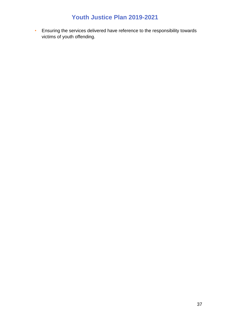• Ensuring the services delivered have reference to the responsibility towards victims of youth offending.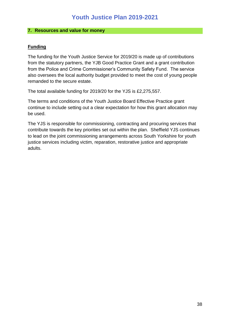#### <span id="page-37-0"></span>**7. Resources and value for money**

#### **Funding**

The funding for the Youth Justice Service for 2019/20 is made up of contributions from the statutory partners, the YJB Good Practice Grant and a grant contribution from the Police and Crime Commissioner's Community Safety Fund. The service also oversees the local authority budget provided to meet the cost of young people remanded to the secure estate.

The total available funding for 2019/20 for the YJS is £2,275,557.

The terms and conditions of the Youth Justice Board Effective Practice grant continue to include setting out a clear expectation for how this grant allocation may be used.

The YJS is responsible for commissioning, contracting and procuring services that contribute towards the key priorities set out within the plan. Sheffield YJS continues to lead on the joint commissioning arrangements across South Yorkshire for youth justice services including victim, reparation, restorative justice and appropriate adults.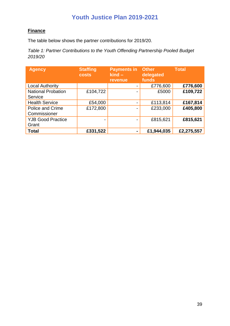#### **Finance**

The table below shows the partner contributions for 2019/20.

*Table 1: Partner Contributions to the Youth Offending Partnership Pooled Budget 2019/20*

| <b>Agency</b>                           | <b>Staffing</b><br><b>costs</b> | <b>Payments in</b><br>$\overline{\mathsf{kind}}$ –<br><b>revenue</b> | <b>Other</b><br>delegated<br>funds | <b>Total</b> |
|-----------------------------------------|---------------------------------|----------------------------------------------------------------------|------------------------------------|--------------|
| <b>Local Authority</b>                  |                                 | $\overline{\phantom{0}}$                                             | £776,600                           | £776,600     |
| <b>National Probation</b><br>Service    | £104,722                        |                                                                      | £5000                              | £109,722     |
| <b>Health Service</b>                   | £54,000                         | $\overline{\phantom{0}}$                                             | £113,814                           | £167,814     |
| <b>Police and Crime</b><br>Commissioner | £172,800                        | $\blacksquare$                                                       | £233,000                           | £405,800     |
| <b>YJB Good Practice</b><br>Grant       | $\overline{\phantom{0}}$        | $\blacksquare$                                                       | £815,621                           | £815,621     |
| <b>Total</b>                            | £331,522                        | -                                                                    | £1,944,035                         | £2,275,557   |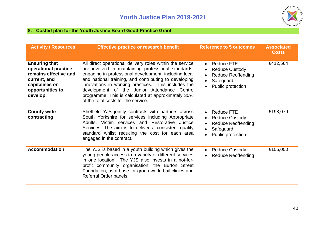

#### **8. Costed plan for the Youth Justice Board Good Practice Grant**

<span id="page-39-0"></span>

| <b>Activity / Resources</b>                                                                                                             | <b>Effective practice or research benefit</b>                                                                                                                                                                                                                                                                                                                                                                                        | <b>Reference to 5 outcomes</b><br><b>Associated</b><br><b>Costs</b>                                                    |          |
|-----------------------------------------------------------------------------------------------------------------------------------------|--------------------------------------------------------------------------------------------------------------------------------------------------------------------------------------------------------------------------------------------------------------------------------------------------------------------------------------------------------------------------------------------------------------------------------------|------------------------------------------------------------------------------------------------------------------------|----------|
| <b>Ensuring that</b><br>operational practice<br>remains effective and<br>current, and<br>capitalises on<br>opportunities to<br>develop. | All direct operational delivery roles within the service<br>are involved in maintaining professional standards,<br>engaging in professional development, including local<br>and national training, and contributing to developing<br>innovations in working practices. This includes the<br>development of the Junior Attendance Centre<br>programme. This is calculated at approximately 30%<br>of the total costs for the service. | <b>Reduce FTE</b><br><b>Reduce Custody</b><br><b>Reduce Reoffending</b><br>Safeguard<br>Public protection              | £412,564 |
| <b>County-wide</b><br>contracting                                                                                                       | Sheffield YJS jointly contracts with partners across<br>South Yorkshire for services including Appropriate<br>Adults, Victim services and Restorative Justice<br>Services. The aim is to deliver a consistent quality<br>standard whilst reducing the cost for each area<br>engaged in the contract.                                                                                                                                 | <b>Reduce FTE</b><br>$\bullet$<br><b>Reduce Custody</b><br><b>Reduce Reoffending</b><br>Safeguard<br>Public protection | £198,079 |
| <b>Accommodation</b>                                                                                                                    | The YJS is based in a youth building which gives the<br>young people access to a variety of different services<br>in one location. The YJS also invests in a not-for-<br>profit community organisation, the Burton Street<br>Foundation, as a base for group work, bail clinics and<br>Referral Order panels.                                                                                                                        | <b>Reduce Custody</b><br><b>Reduce Reoffending</b>                                                                     | £105,000 |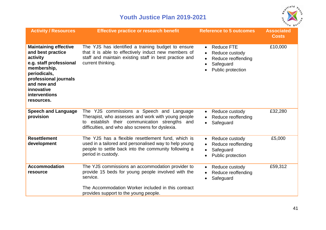

| <b>Activity / Resources</b>                                                                                                                                                                                         | <b>Effective practice or research benefit</b>                                                                                                                                                         | <b>Reference to 5 outcomes</b>                                                                                                                               | <b>Associated</b><br><b>Costs</b> |
|---------------------------------------------------------------------------------------------------------------------------------------------------------------------------------------------------------------------|-------------------------------------------------------------------------------------------------------------------------------------------------------------------------------------------------------|--------------------------------------------------------------------------------------------------------------------------------------------------------------|-----------------------------------|
| <b>Maintaining effective</b><br>and best practice<br>activity<br>e.g. staff professional<br>membership,<br>periodicals,<br>professional journals<br>and new and<br>innovative<br><b>interventions</b><br>resources. | The YJS has identified a training budget to ensure<br>that it is able to effectively induct new members of<br>staff and maintain existing staff in best practice and<br>current thinking.             | <b>Reduce FTE</b><br>$\bullet$<br>Reduce custody<br>$\bullet$<br>Reduce reoffending<br>$\bullet$<br>Safeguard<br>$\bullet$<br>Public protection<br>$\bullet$ | £10,000                           |
| <b>Speech and Language</b><br>provision                                                                                                                                                                             | The YJS commissions a Speech and Language<br>Therapist, who assesses and work with young people<br>to establish their communication strengths and<br>difficulties, and who also screens for dyslexia. | Reduce custody<br>$\bullet$<br>Reduce reoffending<br>$\bullet$<br>Safeguard<br>$\bullet$                                                                     | £32,280                           |
| <b>Resettlement</b><br>development                                                                                                                                                                                  | The YJS has a flexible resettlement fund, which is<br>used in a tailored and personalised way to help young<br>people to settle back into the community following a<br>period in custody.             | Reduce custody<br>$\bullet$<br>Reduce reoffending<br>$\bullet$<br>Safeguard<br>$\bullet$<br>Public protection<br>$\bullet$                                   | £5,000                            |
| <b>Accommodation</b><br>resource                                                                                                                                                                                    | The YJS commissions an accommodation provider to<br>provide 15 beds for young people involved with the<br>service.                                                                                    | Reduce custody<br>$\bullet$<br>Reduce reoffending<br>Safeguard<br>$\bullet$                                                                                  | £59,312                           |
|                                                                                                                                                                                                                     | The Accommodation Worker included in this contract<br>provides support to the young people.                                                                                                           |                                                                                                                                                              |                                   |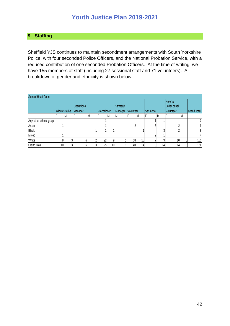#### <span id="page-41-0"></span>**9. Staffing**

Sheffield YJS continues to maintain secondment arrangements with South Yorkshire Police, with four seconded Police Officers, and the National Probation Service, with a reduced contribution of one seconded Probation Officers. At the time of writing, we have 155 members of staff (including 27 sessional staff and 71 volunteers). A breakdown of gender and ethnicity is shown below.

| Sum of Head Count      |                |   |             |   |                      |                 |              |           |                 |           |                 |             |                |                    |
|------------------------|----------------|---|-------------|---|----------------------|-----------------|--------------|-----------|-----------------|-----------|-----------------|-------------|----------------|--------------------|
|                        |                |   |             |   |                      |                 |              |           |                 |           |                 | Referral    |                |                    |
|                        |                |   | Operational |   |                      |                 | Strategic    |           |                 |           |                 | Order panel |                |                    |
|                        | Administrative |   | Manager     |   | <b>IPractitioner</b> |                 | Manager      | Volunteer |                 | Sessional |                 | Volunteer   |                | <b>Grand Total</b> |
|                        |                | M |             | M |                      | M               | <sup>M</sup> |           | M               |           | M               |             | M              |                    |
| Any other ethnic group |                |   |             |   |                      |                 |              |           |                 |           |                 |             |                | 3                  |
| Asian                  |                |   |             |   |                      |                 |              |           |                 |           |                 |             |                | $9\,$              |
| <b>Black</b>           |                |   |             |   |                      |                 |              |           |                 |           | 3               |             |                | 9                  |
| Mixed                  |                |   |             |   |                      |                 |              |           |                 |           |                 |             |                | 4                  |
| White                  |                |   |             |   | 22                   |                 |              | 38        | 13 <sub>l</sub> |           | 9 <sup>1</sup>  | 10          | 3              | 131                |
| <b>Grand Total</b>     | 10             |   |             |   | 25                   | 10 <sub>1</sub> |              | 40        | 14 <sub>l</sub> | 13        | 14 <sub>1</sub> | 14          | 3 <sup>1</sup> | 156                |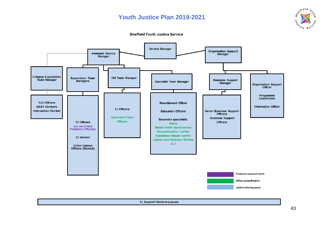





YJ Support Workers (casual)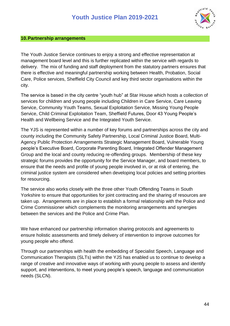

#### <span id="page-43-0"></span>**10.Partnership arrangements**

The Youth Justice Service continues to enjoy a strong and effective representation at management board level and this is further replicated within the service with regards to delivery. The mix of funding and staff deployment from the statutory partners ensures that there is effective and meaningful partnership working between Health, Probation, Social Care, Police services, Sheffield City Council and key third sector organisations within the city.

The service is based in the city centre "youth hub" at Star House which hosts a collection of services for children and young people including Children in Care Service, Care Leaving Service, Community Youth Teams, Sexual Exploitation Service, Missing Young People Service, Child Criminal Exploitation Team, Sheffield Futures, Door 43 Young People's Health and Wellbeing Service and the Integrated Youth Service.

The YJS is represented within a number of key forums and partnerships across the city and county including the Community Safety Partnership, Local Criminal Justice Board, Multi-Agency Public Protection Arrangements Strategic Management Board, Vulnerable Young people's Executive Board, Corporate Parenting Board, Integrated Offender Management Group and the local and county reducing re-offending groups. Membership of these key strategic forums provides the opportunity for the Service Manager, and board members, to ensure that the needs and profile of young people involved in, or at risk of entering, the criminal justice system are considered when developing local policies and setting priorities for resourcing.

The service also works closely with the three other Youth Offending Teams in South Yorkshire to ensure that opportunities for joint contracting and the sharing of resources are taken up. Arrangements are in place to establish a formal relationship with the Police and Crime Commissioner which complements the monitoring arrangements and synergies between the services and the Police and Crime Plan.

We have enhanced our partnership information sharing protocols and agreements to ensure holistic assessments and timely delivery of intervention to improve outcomes for young people who offend.

Through our partnerships with health the embedding of Specialist Speech, Language and Communication Therapists (SLTs) within the YJS has enabled us to continue to develop a range of creative and innovative ways of working with young people to assess and identify support, and interventions, to meet young people's speech, language and communication needs (SLCN).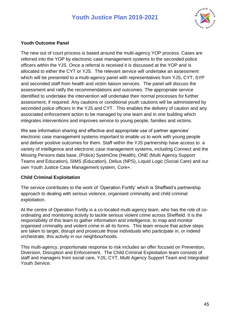

#### **Youth Outcome Panel**

The new out of court process is based around the multi-agency YOP process. Cases are referred into the YOP by electronic case management systems to the seconded police officers within the YJS. Once a referral is received it is discussed at the YOP and is allocated to either the CYT or YJS. The relevant service will undertake an assessment which will be presented to a multi-agency panel with representatives from YJS, CYT, SYP and seconded staff from health and victim liaison services. The panel will discuss the assessment and ratify the recommendations and outcomes. The appropriate service identified to undertake the intervention will undertake their normal processes for further assessment, if required. Any cautions or conditional youth cautions will be administered by seconded police officers in the YJS and CYT. This enables the delivery of caution and any associated enforcement action to be managed by one team and in one building which integrates interventions and improves service to young people, families and victims.

We see information sharing and effective and appropriate use of partner agencies' electronic case management systems important to enable us to work with young people and deliver positive outcomes for them. Staff within the YJS partnership have access to a variety of intelligence and electronic case management systems, including Connect and the Missing Persons data base, (Police) SystmOne (Health), ONE (Multi Agency Support Teams and Education), SIMS (Education), Delius (NPS), Liquid Logic (Social Care) and our own Youth Justice Case Management system, Core+.

#### **Child Criminal Exploitation**

The service contributes to the work of 'Operation Fortify' which is Sheffield's partnership approach to dealing with serious violence, organised criminality and child criminal exploitation.

At the centre of Operation Fortify is a co-located multi-agency team, who has the role of coordinating and monitoring activity to tackle serious violent crime across Sheffield. It is the responsibility of this team to gather information and intelligence, to map and monitor organised criminality and violent crime in all its forms. This team ensure that active steps are taken to target, disrupt and prosecute those individuals who participate in, or indeed orchestrate, this activity in our neighbourhoods.

This multi-agency, proportionate response to risk includes an offer focused on Prevention, Diversion, Disruption and Enforcement. The Child Criminal Exploitation team consists of staff and managers from social care, YJS, CYT, Multi Agency Support Team and Integrated Youth Service.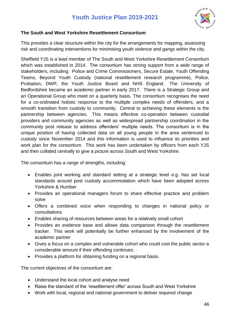

#### **The South and West Yorkshire Resettlement Consortium**

This provides a clear structure within the city for the arrangements for mapping, assessing risk and coordinating interventions for minimising youth violence and gangs within the city.

Sheffield YJS is a lead member of The South and West Yorkshire Resettlement Consortium which was established in 2014. The consortium has strong support from a wide range of stakeholders, including: Police and Crime Commissioners, Secure Estate, Youth Offending Teams, Beyond Youth Custody (national resettlement research programme), Police, Probation, DWP, the Youth Justice Board and NHS England. The University of Bedfordshire became an academic partner in early 2017. There is a Strategic Group and an Operational Group who meet on a quarterly basis. The consortium recognises the need for a co-ordinated holistic response to the multiple complex needs of offenders, and a smooth transition from custody to community. Central to achieving these elements is the partnership between agencies. This means effective co-operation between custodial providers and community agencies as well as widespread partnership coordination in the community post release to address offenders' multiple needs. The consortium is in the unique position of having collected data on all young people in the area sentenced to custody since November 2014 and this information is used to influence its priorities and work plan for the consortium. This work has been undertaken by officers from each YJS and then collated centrally to give a picture across South and West Yorkshire.

The consortium has a range of strengths, including:

- Enables joint working and standard setting at a strategic level e.g. has set local standards around post custody accommodation which have been adopted across Yorkshire & Humber
- Provides an operational managers forum to share effective practice and problem solve
- Offers a combined voice when responding to changes in national policy or consultations
- Enables sharing of resources between areas for a relatively small cohort
- Provides an evidence base and allows data comparison through the resettlement tracker. This work will potentially be further enhanced by the involvement of the academic partner
- Gives a focus on a complex and vulnerable cohort who could cost the public sector a considerable amount if their offending continues. ·
- Provides a platform for obtaining funding on a regional basis.

The current objectives of the consortium are:

- Understand the local cohort and analyse need
- Raise the standard of the 'resettlement offer' across South and West Yorkshire
- Work with local, regional and national government to deliver required change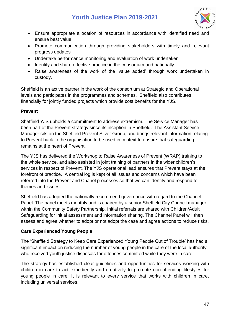

- Ensure appropriate allocation of resources in accordance with identified need and ensure best value
- Promote communication through providing stakeholders with timely and relevant progress updates
- Undertake performance monitoring and evaluation of work undertaken
- Identify and share effective practice in the consortium and nationally
- Raise awareness of the work of the 'value added' through work undertaken in custody.

Sheffield is an active partner in the work of the consortium at Strategic and Operational levels and participates in the programmes and schemes. Sheffield also contributes financially for jointly funded projects which provide cost benefits for the YJS.

#### **Prevent**

Sheffield YJS upholds a commitment to address extremism. The Service Manager has been part of the Prevent strategy since its inception in Sheffield. The Assistant Service Manager sits on the Sheffield Prevent Silver Group, and brings relevant information relating to Prevent back to the organisation to be used in context to ensure that safeguarding remains at the heart of Prevent.

The YJS has delivered the Workshop to Raise Awareness of Prevent (WRAP) training to the whole service, and also assisted in joint training of partners in the wider children's services in respect of Prevent. The YJS operational lead ensures that Prevent stays at the forefront of practice. A central log is kept of all issues and concerns which have been referred into the Prevent and Chanel processes so that we can identify and respond to themes and issues.

Sheffield has adopted the nationally recommend governance with regard to the Channel Panel. The panel meets monthly and is chaired by a senior Sheffield City Council manager within the Community Safety Partnership. Initial referrals are shared with Children/Adult Safeguarding for initial assessment and information sharing. The Channel Panel will then assess and agree whether to adopt or not adopt the case and agree actions to reduce risks.

#### **Care Experienced Young People**

The 'Sheffield Strategy to Keep Care Experienced Young People Out of Trouble' has had a significant impact on reducing the number of young people in the care of the local authority who received youth justice disposals for offences committed while they were in care.

The strategy has established clear guidelines and opportunities for services working with children in care to act expediently and creatively to promote non-offending lifestyles for young people in care. It is relevant to every service that works with children in care, including universal services.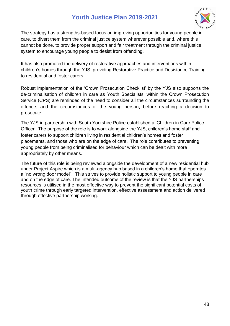

The strategy has a strengths-based focus on improving opportunities for young people in care, to divert them from the criminal justice system wherever possible and, where this cannot be done, to provide proper support and fair treatment through the criminal justice system to encourage young people to desist from offending.

It has also promoted the delivery of restorative approaches and interventions within children's homes through the YJS providing Restorative Practice and Desistance Training to residential and foster carers.

Robust implementation of the 'Crown Prosecution Checklist' by the YJS also supports the de-criminalisation of children in care as Youth Specialists' within the Crown Prosecution Service (CPS) are reminded of the need to consider all the circumstances surrounding the offence, and the circumstances of the young person, before reaching a decision to prosecute.

The YJS in partnership with South Yorkshire Police established a 'Children in Care Police Officer'. The purpose of the role is to work alongside the YJS, children's home staff and foster carers to support children living in residential children's homes and foster placements, and those who are on the edge of care. The role contributes to preventing young people from being criminalised for behaviour which can be dealt with more appropriately by other means.

The future of this role is being reviewed alongside the development of a new residential hub under Project Aspire which is a multi-agency hub based in a children's home that operates a "no wrong door model". This strives to provide holistic support to young people in care and on the edge of care. The intended outcome of the review is that the YJS partnerships resources is utilised in the most effective way to prevent the significant potential costs of youth crime through early targeted intervention, effective assessment and action delivered through effective partnership working.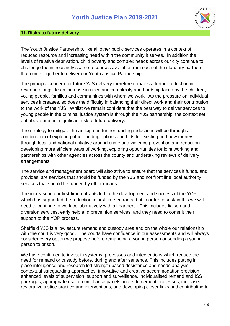

#### <span id="page-48-0"></span>**11.Risks to future delivery**

The Youth Justice Partnership, like all other public services operates in a context of reduced resource and increasing need within the community it serves. In addition the levels of relative deprivation, child poverty and complex needs across our city continue to challenge the increasingly scarce resources available from each of the statutory partners that come together to deliver our Youth Justice Partnership.

The principal concern for future YJS delivery therefore remains a further reduction in revenue alongside an increase in need and complexity and hardship faced by the children, young people, families and communities with whom we work. As the pressure on individual services increases, so does the difficulty in balancing their direct work and their contribution to the work of the YJS. Whilst we remain confident that the best way to deliver services to young people in the criminal justice system is through the YJS partnership, the context set out above present significant risk to future delivery.

The strategy to mitigate the anticipated further funding reductions will be through a combination of exploring other funding options and bids for existing and new money through local and national initiative around crime and violence prevention and reduction, developing more efficient ways of working, exploring opportunities for joint working and partnerships with other agencies across the county and undertaking reviews of delivery arrangements.

The service and management board will also strive to ensure that the services it funds, and provides, are services that should be funded by the YJS and not front line local authority services that should be funded by other means.

The increase in our first-time entrants led to the development and success of the YOP which has supported the reduction in first time entrants, but in order to sustain this we will need to continue to work collaboratively with all partners. This includes liaison and diversion services, early help and prevention services, and they need to commit their support to the YOP process.

Sheffield YJS is a low secure remand and custody area and on the whole our relationship with the court is very good. The courts have confidence in our assessments and will always consider every option we propose before remanding a young person or sending a young person to prison.

We have continued to invest in systems, processes and interventions which reduce the need for remand or custody before, during and after sentence. This includes putting in place intelligence and research led strength based desistance and needs analysis, contextual safeguarding approaches, innovative and creative accommodation provision, enhanced levels of supervision, support and surveillance, individualised remand and ISS packages, appropriate use of compliance panels and enforcement processes, increased restorative justice practice and interventions, and developing closer links and contributing to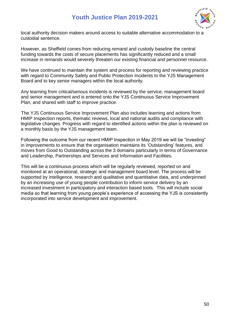

local authority decision makers around access to suitable alternative accommodation to a custodial sentence.

However, as Sheffield comes from reducing remand and custody baseline the central funding towards the costs of secure placements has significantly reduced and a small increase in remands would severely threaten our existing financial and personnel resource.

We have continued to maintain the system and process for reporting and reviewing practice with regard to Community Safety and Public Protection Incidents to the YJS Management Board and to key senior managers within the local authority.

Any learning from critical/serious incidents is reviewed by the service, management board and senior management and is entered onto the YJS Continuous Service Improvement Plan, and shared with staff to improve practice.

 The YJS Continuous Service Improvement Plan also includes learning and actions from HMIP Inspection reports, thematic reviews, local and national audits and compliance with legislative changes. Progress with regard to identified actions within the plan is reviewed on a monthly basis by the YJS management team.

Following the outcome from our recent HMIP Inspection in May 2019 we will be "investing" in improvements to ensure that the organisation maintains its 'Outstanding' features, and moves from Good to Outstanding across the 3 domains particularly in terms of Governance and Leadership, Partnerships and Services and Information and Facilities.

This will be a continuous process which will be regularly reviewed, reported on and monitored at an operational, strategic and management board level. The process will be supported by intelligence, research and qualitative and quantitative data, and underpinned by an increasing use of young people contribution to inform service delivery by an increased investment in participatory and interaction based tools. This will include social media so that learning from young people's experience of accessing the YJS is consistently incorporated into service development and improvement.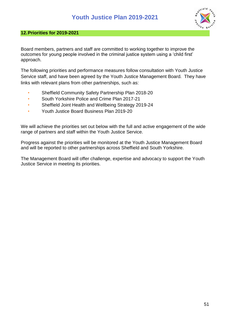

#### <span id="page-50-0"></span>**12.Priorities for 2019-2021**

Board members, partners and staff are committed to working together to improve the outcomes for young people involved in the criminal justice system using a 'child first' approach.

The following priorities and performance measures follow consultation with Youth Justice Service staff, and have been agreed by the Youth Justice Management Board. They have links with relevant plans from other partnerships, such as:

- Sheffield Community Safety Partnership Plan 2018-20
- South Yorkshire Police and Crime Plan 2017-21
- Sheffield Joint Health and Wellbeing Strategy 2019-24
- Youth Justice Board Business Plan 2019-20

We will achieve the priorities set out below with the full and active engagement of the wide range of partners and staff within the Youth Justice Service.

Progress against the priorities will be monitored at the Youth Justice Management Board and will be reported to other partnerships across Sheffield and South Yorkshire.

The Management Board will offer challenge, expertise and advocacy to support the Youth Justice Service in meeting its priorities.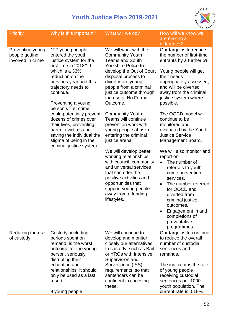

| <b>Priority</b>                                         | Why is this important?                                                                                                                                                                                                                                                                                                                                                                                                                | What will we do?                                                                                                                                                                                                                                                                                                                                                                                                                                                                                                                                                                                                                                                     | How will we know we<br>are making a                                                                                                                                                                                                                                                                                                                                                                                                                                                                                                                                                                                                                                                                    |
|---------------------------------------------------------|---------------------------------------------------------------------------------------------------------------------------------------------------------------------------------------------------------------------------------------------------------------------------------------------------------------------------------------------------------------------------------------------------------------------------------------|----------------------------------------------------------------------------------------------------------------------------------------------------------------------------------------------------------------------------------------------------------------------------------------------------------------------------------------------------------------------------------------------------------------------------------------------------------------------------------------------------------------------------------------------------------------------------------------------------------------------------------------------------------------------|--------------------------------------------------------------------------------------------------------------------------------------------------------------------------------------------------------------------------------------------------------------------------------------------------------------------------------------------------------------------------------------------------------------------------------------------------------------------------------------------------------------------------------------------------------------------------------------------------------------------------------------------------------------------------------------------------------|
| Preventing young<br>people getting<br>involved in crime | 127 young people<br>entered the youth<br>justice system for the<br>first time in 2018/19<br>which is a 33%<br>reduction on the<br>previous year and this<br>trajectory needs to<br>continue.<br>Preventing a young<br>person's first crime<br>could potentially prevent<br>dozens of crimes over<br>their lives, preventing<br>harm to victims and<br>saving the individual the<br>stigma of being in the<br>criminal justice system. | We will work with the<br><b>Community Youth</b><br><b>Teams and South</b><br><b>Yorkshire Police to</b><br>develop the Out of Court<br>disposal process to<br>divert more young<br>people from a criminal<br>justice outcome through<br>the use of No Formal<br>Outcome.<br><b>Community Youth</b><br>Teams will continue<br>prevention work with<br>young people at risk of<br>entering the criminal<br>justice arena.<br>We will develop better<br>working relationships<br>with council, community<br>and universal services<br>that can offer the<br>positive activities and<br>opportunities that<br>support young people<br>away from offending<br>lifestyles. | difference?<br>Our target is to reduce<br>the number of first-time<br>entrants by a further 5%<br>Young people will get<br>their needs<br>appropriately assessed,<br>and will be diverted<br>away from the criminal<br>justice system where<br>possible.<br>The OOCD model will<br>continue to be<br>monitored and<br>evaluated by the Youth<br><b>Justice Service</b><br>Management Board.<br>We will also monitor and<br>report on:<br>The number of<br>$\bullet$<br>referrals to youth<br>crime prevention<br>services.<br>The number referred<br>$\bullet$<br>for OOCD and<br>diverted from<br>criminal justice<br>outcomes.<br>Engagement in and<br>completions of<br>preventative<br>programmes. |
| Reducing the use<br>of custody                          | Custody, including<br>periods spent on<br>remand, is the worst<br>outcome for the young<br>person, seriously<br>disrupting their<br>education and<br>relationships. It should<br>only be used as a last<br>resort.<br>9 young people                                                                                                                                                                                                  | We will continue to<br>develop and monitor<br>closely our alternatives<br>to custody, such as Bail<br>or YROs with Intensive<br>Supervision and<br>Surveillance (ISS)<br>requirements, so that<br>sentencers can be<br>confident in choosing<br>these.                                                                                                                                                                                                                                                                                                                                                                                                               | Our target is to continue<br>to reduce the overall<br>number of custodial<br>sentences and<br>remands.<br>The indicator is the rate<br>of young people<br>receiving custodial<br>sentences per 1000<br>youth population. The<br>current rate is 0.18%                                                                                                                                                                                                                                                                                                                                                                                                                                                  |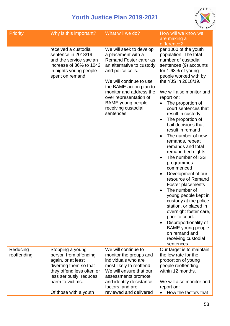

| <b>Priority</b>         | Why is this important?                                                                                                                                                                         | What will we do?                                                                                                                                                                                                                                                                                      | How will we know we<br>are making a<br>difference?                                                                                                                                                                                                                                                                                                                                                                                                                                                                                                                                                                                                                                                                                                                                                                                                                       |
|-------------------------|------------------------------------------------------------------------------------------------------------------------------------------------------------------------------------------------|-------------------------------------------------------------------------------------------------------------------------------------------------------------------------------------------------------------------------------------------------------------------------------------------------------|--------------------------------------------------------------------------------------------------------------------------------------------------------------------------------------------------------------------------------------------------------------------------------------------------------------------------------------------------------------------------------------------------------------------------------------------------------------------------------------------------------------------------------------------------------------------------------------------------------------------------------------------------------------------------------------------------------------------------------------------------------------------------------------------------------------------------------------------------------------------------|
|                         | received a custodial<br>sentence in 2018/19<br>and the service saw an<br>increase of 36% to 1042<br>in nights young people<br>spent on remand.                                                 | We will seek to develop<br>a placement with a<br>Remand Foster carer as<br>an alternative to custody<br>and police cells.<br>We will continue to use<br>the BAME action plan to<br>monitor and address the<br>over representation of<br><b>BAME</b> young people<br>receiving custodial<br>sentences. | per 1000 of the youth<br>population. The total<br>number of custodial<br>sentences (9) accounts<br>for 1.68% of young<br>people worked with by<br>the YJS in 2018/19.<br>We will also monitor and<br>report on:<br>The proportion of<br>court sentences that<br>result in custody<br>The proportion of<br>$\bullet$<br>bail decisions that<br>result in remand<br>The number of new<br>remands, repeat<br>remands and total<br>remand bed nights<br>The number of ISS<br>$\bullet$<br>programmes<br>commenced<br>Development of our<br>$\bullet$<br>resource of Remand<br>Foster placements<br>The number of<br>$\bullet$<br>young people kept in<br>custody at the police<br>station, or placed in<br>overnight foster care,<br>prior to court.<br>Disproportionality of<br>$\bullet$<br><b>BAME</b> young people<br>on remand and<br>receiving custodial<br>sentences. |
| Reducing<br>reoffending | Stopping a young<br>person from offending<br>again, or at least<br>diverting them so that<br>they offend less often or<br>less seriously, reduces<br>harm to victims.<br>Of those with a youth | We will continue to<br>monitor the groups and<br>individuals who are<br>most likely to reoffend.<br>We will ensure that our<br>assessments promote<br>and identify desistance<br>factors, and are<br>reviewed and delivered                                                                           | Our target is to maintain<br>the low rate for the<br>proportion of young<br>people reoffending<br>within 12 months.<br>We will also monitor and<br>report on:<br>How the factors that                                                                                                                                                                                                                                                                                                                                                                                                                                                                                                                                                                                                                                                                                    |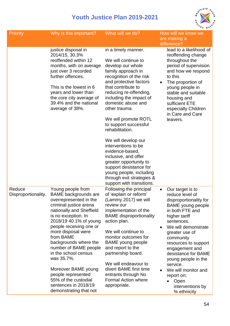

| <b>Priority</b>               | Why is this important?                                                                                                                                                                                                                                                                                                                                                                                                                                         | What will we do?                                                                                                                                                                                                                                                                                                                                                                                                          | How will we know we<br>are making a                                                                                                                                                                                                                                                                                                                                                                             |
|-------------------------------|----------------------------------------------------------------------------------------------------------------------------------------------------------------------------------------------------------------------------------------------------------------------------------------------------------------------------------------------------------------------------------------------------------------------------------------------------------------|---------------------------------------------------------------------------------------------------------------------------------------------------------------------------------------------------------------------------------------------------------------------------------------------------------------------------------------------------------------------------------------------------------------------------|-----------------------------------------------------------------------------------------------------------------------------------------------------------------------------------------------------------------------------------------------------------------------------------------------------------------------------------------------------------------------------------------------------------------|
|                               | justice disposal in<br>2014/15, 30.3%<br>reoffended within 12<br>months, with on average<br>just over 3 recorded<br>further offences.<br>This is the lowest in 6<br>years and lower than<br>the core city average of<br>39.4% and the national<br>average of 38%.                                                                                                                                                                                              | in a timely manner.<br>We will continue to<br>develop our whole<br>family approach in<br>recognition of the risk<br>and protective factors<br>that contribute to<br>reducing re-offending,<br>including the impact of<br>domestic abuse and<br>other trauma.<br>We will promote ROTL<br>to support successful<br>rehabilitation.<br>We will develop our<br>interventions to be<br>evidence-based,<br>inclusive, and offer | difference?<br>lead to a likelihood of<br>reoffending change<br>throughout the<br>period of supervision<br>and how we respond<br>to this<br>The proportion of<br>young people in<br>stable and suitable<br>housing and<br>sufficient ETE<br>especially Children<br>in Care and Care<br>leavers.                                                                                                                 |
|                               |                                                                                                                                                                                                                                                                                                                                                                                                                                                                | greater opportunity to<br>support desistance for<br>young people, including<br>through exit strategies &<br>support with transitions.                                                                                                                                                                                                                                                                                     |                                                                                                                                                                                                                                                                                                                                                                                                                 |
| Reduce<br>Disproportionality. | Young people from<br><b>BAME</b> backgrounds are<br>overrepresented in the<br>criminal justice arena<br>nationally and Sheffield<br>is no exception. In<br>2018/19 40.1% of young<br>people receiving one or<br>more disposal were<br>from BAME<br>backgrounds where the<br>number of BAME people<br>in the school census<br>was 35.7%.<br>Moreover BAME young<br>people represented<br>55% of the custodial<br>sentences in 2018/19<br>demonstrating that not | Following the principal<br>of 'explain or reform'<br>(Lammy 2017) we will<br>review our<br>implementation of the<br><b>BAME</b> disproportionality<br>action plan.<br>We will continue to<br>monitor outcomes for<br>BAME young people<br>and report to the<br>partnership board.<br>We will endeavour to<br>divert BAME first time<br>entrants through No<br>Formal Action where<br>appropriate.                         | Our target is to<br>$\bullet$<br>reduce level of<br>disproportionality for<br><b>BAME</b> young people<br>in both FTE and<br>higher tariff<br>sentences.<br>We will demonstrate<br>greater use of<br>community<br>resources to support<br>engagement and<br>desistance for BAME<br>young people in the<br>service.<br>We will monitor and<br>report on;<br>Open<br>$\bullet$<br>interventions by<br>% ethnicity |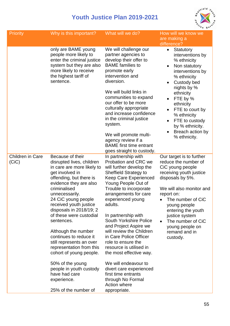

| <b>Priority</b>           | Why is this important?                                                                                                                                                                                                                                                                                                                                                                                                                                                                                                                                | What will we do?                                                                                                                                                                                                                                                                                                                                                                                                                                                                                                                                                                             | How will we know we<br>are making a<br>difference?                                                                                                                                                                                                                                                              |
|---------------------------|-------------------------------------------------------------------------------------------------------------------------------------------------------------------------------------------------------------------------------------------------------------------------------------------------------------------------------------------------------------------------------------------------------------------------------------------------------------------------------------------------------------------------------------------------------|----------------------------------------------------------------------------------------------------------------------------------------------------------------------------------------------------------------------------------------------------------------------------------------------------------------------------------------------------------------------------------------------------------------------------------------------------------------------------------------------------------------------------------------------------------------------------------------------|-----------------------------------------------------------------------------------------------------------------------------------------------------------------------------------------------------------------------------------------------------------------------------------------------------------------|
|                           | only are BAME young<br>people more likely to<br>enter the criminal justice<br>system but they are also<br>more likely to receive<br>the highest tariff of<br>sentence.                                                                                                                                                                                                                                                                                                                                                                                | We will challenge our<br>partner agencies to<br>develop their offer to<br><b>BAME</b> families to<br>promote early<br>intervention and<br>diversion.<br>We will build links in<br>communities to expand<br>our offer to be more<br>culturally appropriate<br>and increase confidence<br>in the criminal justice<br>system.<br>We will promote multi-<br>agency review if a<br><b>BAME</b> first time entrant<br>goes straight to custody.                                                                                                                                                    | Statutory<br>$\bullet$<br>interventions by<br>% ethnicity<br>Non statutory<br>interventions by<br>% ethnicity<br>Custody bed<br>nights by %<br>ethnicity<br>FTE by %<br>ethnicity<br>FTE to court by<br>% ethnicity<br>FTE to custody<br>٠<br>by % ethnicity.<br>Breach action by<br>% ethnicity.               |
| Children in Care<br>(CiC) | Because of their<br>disrupted lives, children<br>in care are more likely to<br>get involved in<br>offending, but there is<br>evidence they are also<br>criminalised<br>unnecessarily.<br>24 CiC young people<br>received youth justice<br>disposals in 2018/19; 2<br>of these were custodial<br>sentences.<br>Although the number<br>continues to reduce it<br>still represents an over<br>representation from this<br>cohort of young people.<br>50% of the young<br>people in youth custody<br>have had care<br>experience.<br>25% of the number of | In partnership with<br>Probation and CRC we<br>will further develop the<br><b>Sheffield Strategy to</b><br><b>Keep Care Experienced</b><br>Young People Out of<br>Trouble to incorporate<br>arrangements for care<br>experienced young<br>adults.<br>In partnership with<br>South Yorkshire Police<br>and Project Aspire we<br>will review the Children<br>in Care Police Officer<br>role to ensure the<br>resource is utilised in<br>the most effective way.<br>We will endeavour to<br>divert care experienced<br>first time entrants<br>through No Formal<br>Action where<br>appropriate. | Our target is to further<br>reduce the number of<br>CiC young people<br>receiving youth justice<br>disposals by 5%.<br>We will also monitor and<br>report on:<br>The number of CiC<br>young people<br>entering the youth<br>justice system<br>The number of CiC<br>young people on<br>remand and in<br>custody. |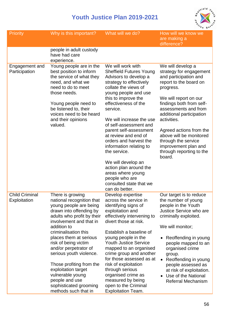

| <b>Priority</b>                       | Why is this important?                                                                                                                                                                                                                                                                                                                                                                                                                              | What will we do?                                                                                                                                                                                                                                                                                                                                                                                                                                                                                                                    | How will we know we<br>are making a<br>difference?                                                                                                                                                                                                                                                                                                                              |
|---------------------------------------|-----------------------------------------------------------------------------------------------------------------------------------------------------------------------------------------------------------------------------------------------------------------------------------------------------------------------------------------------------------------------------------------------------------------------------------------------------|-------------------------------------------------------------------------------------------------------------------------------------------------------------------------------------------------------------------------------------------------------------------------------------------------------------------------------------------------------------------------------------------------------------------------------------------------------------------------------------------------------------------------------------|---------------------------------------------------------------------------------------------------------------------------------------------------------------------------------------------------------------------------------------------------------------------------------------------------------------------------------------------------------------------------------|
|                                       | people in adult custody<br>have had care<br>experience.                                                                                                                                                                                                                                                                                                                                                                                             |                                                                                                                                                                                                                                                                                                                                                                                                                                                                                                                                     |                                                                                                                                                                                                                                                                                                                                                                                 |
| Engagement and<br>Participation       | Young people are in the<br>best position to inform<br>the service of what they<br>need, and what we<br>need to do to meet<br>those needs.<br>Young people need to<br>be listened to, their<br>voices need to be heard<br>and their opinions<br>valued.                                                                                                                                                                                              | We will work with<br><b>Sheffield Futures Young</b><br>Advisors to develop a<br>strategy to effectively<br>collate the views of<br>young people and use<br>this to improve the<br>effectiveness of the<br>service.<br>We will increase the use<br>of self-assessment and<br>parent self-assessment<br>at review and end of<br>orders and harvest the<br>information relating to<br>the service.<br>We will develop an<br>action plan around the<br>areas where young<br>people who are<br>consulted state that we<br>can do better. | We will develop a<br>strategy for engagement<br>and participation and<br>report to the board on<br>progress.<br>We will report on our<br>findings both from self-<br>assessments and from<br>additional participation<br>activities.<br>Agreed actions from the<br>above will be monitored<br>through the service<br>improvement plan and<br>through reporting to the<br>board. |
| <b>Child Criminal</b><br>Exploitation | There is growing<br>national recognition that<br>young people are being<br>drawn into offending by<br>adults who profit by their<br>involvement and that in<br>addition to<br>criminalisation this<br>places them at serious<br>risk of being victim<br>and/or perpetrator of<br>serious youth violence.<br>Those profiting from the<br>exploitation target<br>vulnerable young<br>people and use<br>sophisticated grooming<br>methods such that in | Develop expertise<br>across the service in<br>identifying signs of<br>exploitation and<br>effectively intervening to<br>divert those at risk.<br>Establish a baseline of<br>young people in the<br><b>Youth Justice Service</b><br>mapped to an organised<br>crime group and another<br>for those assessed as at<br>risk of exploitation<br>through serious<br>organised crime as<br>measured by being<br>open to the Criminal<br><b>Exploitation Team.</b>                                                                         | Our target is to reduce<br>the number of young<br>people in the Youth<br>Justice Service who are<br>criminally exploited.<br>We will monitor;<br>Reoffending in young<br>people mapped to an<br>organised crime<br>group.<br>Reoffending in young<br>$\bullet$<br>people assessed as<br>at risk of exploitation.<br>Use of the National<br>Referral Mechanism                   |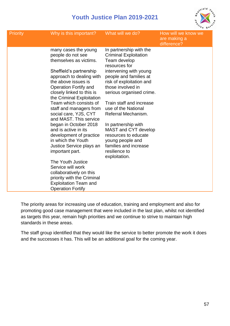

| <b>Priority</b> | Why is this important?                                                                                                                                                                                                                                                                                                                                                                                                                                                                                                                                                                                                                                       | What will we do?                                                                                                                                                                                                                                                                                                                                                                                                                                          | How will we know we<br>are making a<br>difference? |
|-----------------|--------------------------------------------------------------------------------------------------------------------------------------------------------------------------------------------------------------------------------------------------------------------------------------------------------------------------------------------------------------------------------------------------------------------------------------------------------------------------------------------------------------------------------------------------------------------------------------------------------------------------------------------------------------|-----------------------------------------------------------------------------------------------------------------------------------------------------------------------------------------------------------------------------------------------------------------------------------------------------------------------------------------------------------------------------------------------------------------------------------------------------------|----------------------------------------------------|
|                 | many cases the young<br>people do not see<br>themselves as victims.<br>Sheffield's partnership<br>approach to dealing with<br>the above issues is<br>Operation Fortify and<br>closely linked to this is<br>the Criminal Exploitation<br>Team which consists of<br>staff and managers from<br>social care, YJS, CYT<br>and MAST. This service<br>began in October 2018<br>and is active in its<br>development of practice<br>in which the Youth<br>Justice Service plays an<br>important part.<br>The Youth Justice<br>Service will work<br>collaboratively on this<br>priority with the Criminal<br><b>Exploitation Team and</b><br><b>Operation Fortify</b> | In partnership with the<br><b>Criminal Exploitation</b><br>Team develop<br>resources for<br>intervening with young<br>people and families at<br>risk of exploitation and<br>those involved in<br>serious organised crime.<br>Train staff and increase<br>use of the National<br>Referral Mechanism.<br>In partnership with<br>MAST and CYT develop<br>resources to educate<br>young people and<br>families and increase<br>resilience to<br>exploitation. |                                                    |

The priority areas for increasing use of education, training and employment and also for promoting good case management that were included in the last plan, whilst not identified as targets this year, remain high priorities and we continue to strive to maintain high standards in these areas.

The staff group identified that they would like the service to better promote the work it does and the successes it has. This will be an additional goal for the coming year.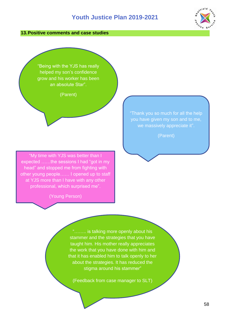#### <span id="page-57-0"></span>**13.Positive comments and case studies**

"Being with the YJS has really helped my son's confidence grow and his worker has been an absolute Star".

(Parent)

"My time with YJS was better than I expected ……the sessions I had "got in my head" and stopped me from fighting with other young people…… I opened up to staff at YJS more than I have with any other professional, which surprised me".

(Young Person)

"Thank you so much for all the help you have given my son and to me, we massively appreciate it".

(Parent)

"…….. is talking more openly about his stammer and the strategies that you have taught him. His mother really appreciates the work that you have done with him and that it has enabled him to talk openly to her about the strategies. It has reduced the stigma around his stammer"

(Feedback from case manager to SLT)

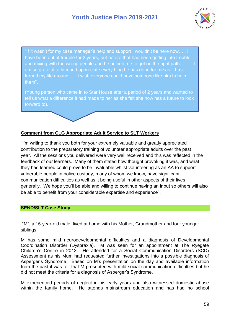

"If it wasn't for my case manager's help and support I wouldn't be here now….. I have been out of trouble for 2 years, but before that had been getting into trouble and mixing with the wrong people and he helped me to get on the right path………I am so grateful to him and appreciate everything he has done for me as it has turned my life around……I wish everyone could have someone like him to help them".

(Young person who came in to Star House after a period of 2 years and wanted to tell us what a difference it had made to her as she felt she now has a future to look forward to).

#### **Comment from CLG Appropriate Adult Service to SLT Workers**

"I'm writing to thank you both for your extremely valuable and greatly appreciated contribution to the preparatory training of volunteer appropriate adults over the past year. All the sessions you delivered were very well received and this was reflected in the feedback of our learners. Many of them stated how thought provoking it was, and what they had learned could prove to be invaluable whilst volunteering as an AA to support vulnerable people in police custody, many of whom we know, have significant communication difficulties as well as it being useful in other aspects of their lives generally. We hope you'll be able and willing to continue having an input so others will also be able to benefit from your considerable expertise and experience".

#### <span id="page-58-0"></span>**SEND/SLT Case Study**

"M", a 15-year-old male, lived at home with his Mother, Grandmother and four younger siblings.

M has some mild neurodevelopmental difficulties and a diagnosis of Developmental Coordination Disorder (Dyspraxia). M was seen for an appointment at The Ryegate Children's Centre in 2013. He attended for a Social Communication Disorders (SCD) Assessment as his Mum had requested further investigations into a possible diagnosis of Asperger's Syndrome. Based on M's presentation on the day and available information from the past it was felt that M presented with mild social communication difficulties but he did not meet the criteria for a diagnosis of Asperger's Syndrome.

M experienced periods of neglect in his early years and also witnessed domestic abuse within the family home. He attends mainstream education and has had no school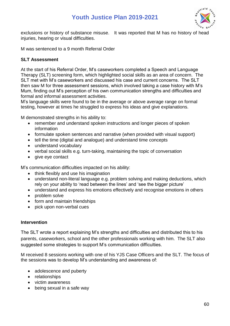

exclusions or history of substance misuse. It was reported that M has no history of head injuries, hearing or visual difficulties.

M was sentenced to a 9 month Referral Order

#### **SLT Assessment**

At the start of his Referral Order, M's caseworkers completed a Speech and Language Therapy (SLT) screening form, which highlighted social skills as an area of concern. The SLT met with M's caseworkers and discussed his case and current concerns. The SLT then saw M for three assessment sessions, which involved taking a case history with M's Mum, finding out M's perception of his own communication strengths and difficulties and formal and informal assessment activities.

M's language skills were found to be in the average or above average range on formal testing, however at times he struggled to express his ideas and give explanations.

M demonstrated strengths in his ability to:

- remember and understand spoken instructions and longer pieces of spoken information
- formulate spoken sentences and narrative (when provided with visual support)
- tell the time (digital and analogue) and understand time concepts
- understand vocabulary
- verbal social skills e.g. turn-taking, maintaining the topic of conversation
- give eye contact

M's communication difficulties impacted on his ability:

- think flexibly and use his imagination
- understand non-literal language e.g. problem solving and making deductions, which rely on your ability to 'read between the lines' and 'see the bigger picture'
- understand and express his emotions effectively and recognise emotions in others
- problem solve
- form and maintain friendships
- pick upon non-verbal cues

#### **Intervention**

The SLT wrote a report explaining M's strengths and difficulties and distributed this to his parents, caseworkers, school and the other professionals working with him. The SLT also suggested some strategies to support M's communication difficulties.

M received 8 sessions working with one of his YJS Case Officers and the SLT. The focus of the sessions was to develop M's understanding and awareness of:

- adolescence and puberty
- relationships
- victim awareness
- being sexual in a safe way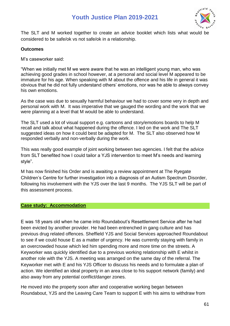

The SLT and M worked together to create an advice booklet which lists what would be considered to be safe/ok vs not safe/ok in a relationship.

#### **Outcomes**

M's caseworker said:

"When we initially met M we were aware that he was an intelligent young man, who was achieving good grades in school however, at a personal and social level M appeared to be immature for his age. When speaking with M about the offence and his life in general it was obvious that he did not fully understand others' emotions, nor was he able to always convey his own emotions.

As the case was due to sexually harmful behaviour we had to cover some very in depth and personal work with M. It was imperative that we gauged the wording and the work that we were planning at a level that M would be able to understand.

The SLT used a lot of visual support e.g. cartoons and story/emotions boards to help M recall and talk about what happened during the offence. I led on the work and The SLT suggested ideas on how it could best be adapted for M. The SLT also observed how M responded verbally and non-verbally during the work.

This was really good example of joint working between two agencies. I felt that the advice from SLT benefited how I could tailor a YJS intervention to meet M's needs and learning style".

M has now finished his Order and is awaiting a review appointment at The Ryegate Children's Centre for further investigation into a diagnosis of an Autism Spectrum Disorder, following his involvement with the YJS over the last 9 months. The YJS SLT will be part of this assessment process.

#### <span id="page-60-0"></span>**Case study: Accommodation**

E was 18 years old when he came into Roundabout's Resettlement Service after he had been evicted by another provider. He had been entrenched in gang culture and has previous drug related offences. Sheffield YJS and Social Services approached Roundabout to see if we could house E as a matter of urgency. He was currently staying with family in an overcrowded house which led him spending more and more time on the streets. A Keyworker was quickly identified due to a previous working relationship with E whilst in another role with the YJS. A meeting was arranged on the same day of the referral. The Keyworker met with E and his YJS Officer to discuss his needs and to formulate a plan of action. We identified an ideal property in an area close to his support network (family) and also away from any potential conflict/danger zones.

He moved into the property soon after and cooperative working began between Roundabout, YJS and the Leaving Care Team to support E with his aims to withdraw from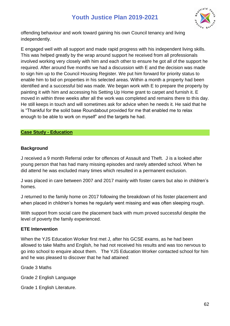

offending behaviour and work toward gaining his own Council tenancy and living independently.

E engaged well with all support and made rapid progress with his independent living skills. This was helped greatly by the wrap around support he received from all professionals involved working very closely with him and each other to ensure he got all of the support he required. After around five months we had a discussion with E and the decision was made to sign him up to the Council Housing Register. We put him forward for priority status to enable him to bid on properties in his selected areas. Within a month a property had been identified and a successful bid was made. We began work with E to prepare the property by painting it with him and accessing his Setting Up Home grant to carpet and furnish it. E moved in within three weeks after all the work was completed and remains there to this day. He still keeps in touch and will sometimes ask for advice when he needs it. He said that he is "Thankful for the solid base Roundabout provided for me that enabled me to relax enough to be able to work on myself" and the targets he had.

#### <span id="page-61-0"></span>**Case Study - Education**

#### **Background**

J received a 9 month Referral order for offences of Assault and Theft. J is a looked after young person that has had many missing episodes and rarely attended school. When he did attend he was excluded many times which resulted in a permanent exclusion.

J was placed in care between 2007 and 2017 mainly with foster carers but also in children's homes.

J returned to the family home on 2017 following the breakdown of his foster placement and when placed in children's homes he regularly went missing and was often sleeping rough.

With support from social care the placement back with mum proved successful despite the level of poverty the family experienced.

#### **ETE Intervention**

When the YJS Education Worker first met J, after his GCSE exams, as he had been allowed to take Maths and English, he had not received his results and was too nervous to go into school to enquire about them. The YJS Education Worker contacted school for him and he was pleased to discover that he had attained:

Grade 3 Maths

Grade 2 English Language

Grade 1 English Literature.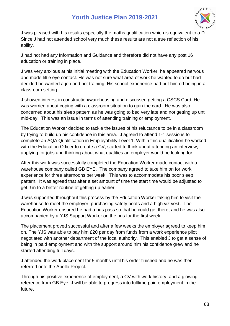

J was pleased with his results especially the maths qualification which is equivalent to a D. Since J had not attended school very much these results are not a true reflection of his ability.

J had not had any Information and Guidance and therefore did not have any post 16 education or training in place.

J was very anxious at his initial meeting with the Education Worker, he appeared nervous and made little eye contact. He was not sure what area of work he wanted to do but had decided he wanted a job and not training. His school experience had put him off being in a classroom setting.

J showed interest in construction/warehousing and discussed getting a CSCS Card. He was worried about coping with a classroom situation to gain the card. He was also concerned about his sleep pattern as he was going to bed very late and not getting up until mid-day. This was an issue in terms of attending training or employment.

The Education Worker decided to tackle the issues of his reluctance to be in a classroom by trying to build up his confidence in this area. J agreed to attend 1-1 sessions to complete an AQA Qualification in Employability Level 1. Within this qualification he worked with the Education Officer to create a CV, started to think about attending an interview, applying for jobs and thinking about what qualities an employer would be looking for.

After this work was successfully completed the Education Worker made contact with a warehouse company called GB EYE. The company agreed to take him on for work experience for three afternoons per week. This was to accommodate his poor sleep pattern. It was agreed that after a set amount of time the start time would be adjusted to get J in to a better routine of getting up earlier.

J was supported throughout this process by the Education Worker taking him to visit the warehouse to meet the employer, purchasing safety boots and a high viz vest. The Education Worker ensured he had a bus pass so that he could get there, and he was also accompanied by a YJS Support Worker on the bus for the first week.

The placement proved successful and after a few weeks the employer agreed to keep him on. The YJS was able to pay him £20 per day from funds from a work experience pilot negotiated with another department of the local authority. This enabled J to get a sense of being in paid employment and with the support around him his confidence grew and he started attending full days.

J attended the work placement for 5 months until his order finished and he was then referred onto the Apollo Project.

Through his positive experience of employment, a CV with work history, and a glowing reference from GB Eye, J will be able to progress into fulltime paid employment in the future.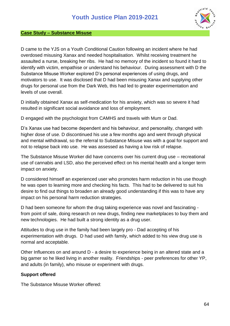

#### <span id="page-63-0"></span>**Case Study – Substance Misuse**

D came to the YJS on a Youth Conditional Caution following an incident where he had overdosed misusing Xanax and needed hospitalisation. Whilst receiving treatment he assaulted a nurse, breaking her ribs. He had no memory of the incident so found it hard to identify with victim, empathise or understand his behaviour. During assessment with D the Substance Misuse Worker explored D's personal experiences of using drugs, and motivators to use. It was disclosed that D had been misusing Xanax and supplying other drugs for personal use from the Dark Web, this had led to greater experimentation and levels of use overall.

D initially obtained Xanax as self-medication for his anxiety, which was so severe it had resulted in significant social avoidance and loss of employment.

D engaged with the psychologist from CAMHS and travels with Mum or Dad.

D's Xanax use had become dependent and his behaviour, and personality, changed with higher dose of use. D discontinued his use a few months ago and went through physical and mental withdrawal, so the referral to Substance Misuse was with a goal for support and not to relapse back into use. He was assessed as having a low risk of relapse.

The Substance Misuse Worker did have concerns over his current drug use – recreational use of cannabis and LSD, also the perceived effect on his mental health and a longer term impact on anxiety.

D considered himself an experienced user who promotes harm reduction in his use though he was open to learning more and checking his facts. This had to be delivered to suit his desire to find out things to broaden an already good understanding if this was to have any impact on his personal harm reduction strategies.

D had been someone for whom the drug taking experience was novel and fascinating from point of sale, doing research on new drugs, finding new marketplaces to buy them and new technologies. He had built a strong identity as a drug user.

Attitudes to drug use in the family had been largely pro - Dad accepting of his experimentation with drugs. D had used with family, which added to his view drug use is normal and acceptable.

Other Influences on and around D - a desire to experience being in an altered state and a big gamer so he liked living in another reality. Friendships - peer preferences for other YP, and adults (in family), who misuse or experiment with drugs.

#### **Support offered**

The Substance Misuse Worker offered: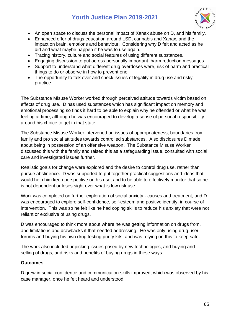

- An open space to discuss the personal impact of Xanax abuse on D, and his family.
- Enhanced offer of drugs education around LSD, cannabis and Xanax, and the impact on brain, emotions and behaviour. Considering why D felt and acted as he did and what maybe happen if he was to use again.
- Tracing history, culture and social features of using different substances.
- Engaging discussion to put across personally important harm reduction messages.
- Support to understand what different drug overdoses were, risk of harm and practical things to do or observe in how to prevent one.
- The opportunity to talk over and check issues of legality in drug use and risky practice.

The Substance Misuse Worker worked through perceived attitude towards victim based on effects of drug use. D has used substances which has significant impact on memory and emotional processing so finds it hard to be able to explain why he offended or what he was feeling at time, although he was encouraged to develop a sense of personal responsibility around his choice to get in that state.

The Substance Misuse Worker intervened on issues of appropriateness, boundaries from family and pro social attitudes towards controlled substances. Also disclosures D made about being in possession of an offensive weapon. The Substance Misuse Worker discussed this with the family and raised this as a safeguarding issue, consulted with social care and investigated issues further.

Realistic goals for change were explored and the desire to control drug use, rather than pursue abstinence. D was supported to put together practical suggestions and ideas that would help him keep perspective on his use, and to be able to effectively monitor that so he is not dependent or loses sight over what is low risk use.

Work was completed on further exploration of social anxiety - causes and treatment, and D was encouraged to explore self-confidence, self-esteem and positive identity, in course of intervention. This was so he felt like he had coping skills to reduce his anxiety that were not reliant or exclusive of using drugs.

D was encouraged to think more about where he was getting information on drugs from, and limitations and drawbacks if that needed addressing. He was only using drug user forums and buying his own drug testing purity kits, and was relying on this to keep safe.

The work also included unpicking issues posed by new technologies, and buying and selling of drugs, and risks and benefits of buying drugs in these ways.

#### **Outcomes**

D grew in social confidence and communication skills improved, which was observed by his case manager, once he felt heard and understood.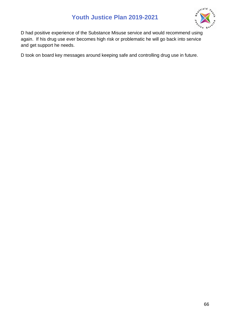

D had positive experience of the Substance Misuse service and would recommend using again. If his drug use ever becomes high risk or problematic he will go back into service and get support he needs.

D took on board key messages around keeping safe and controlling drug use in future.